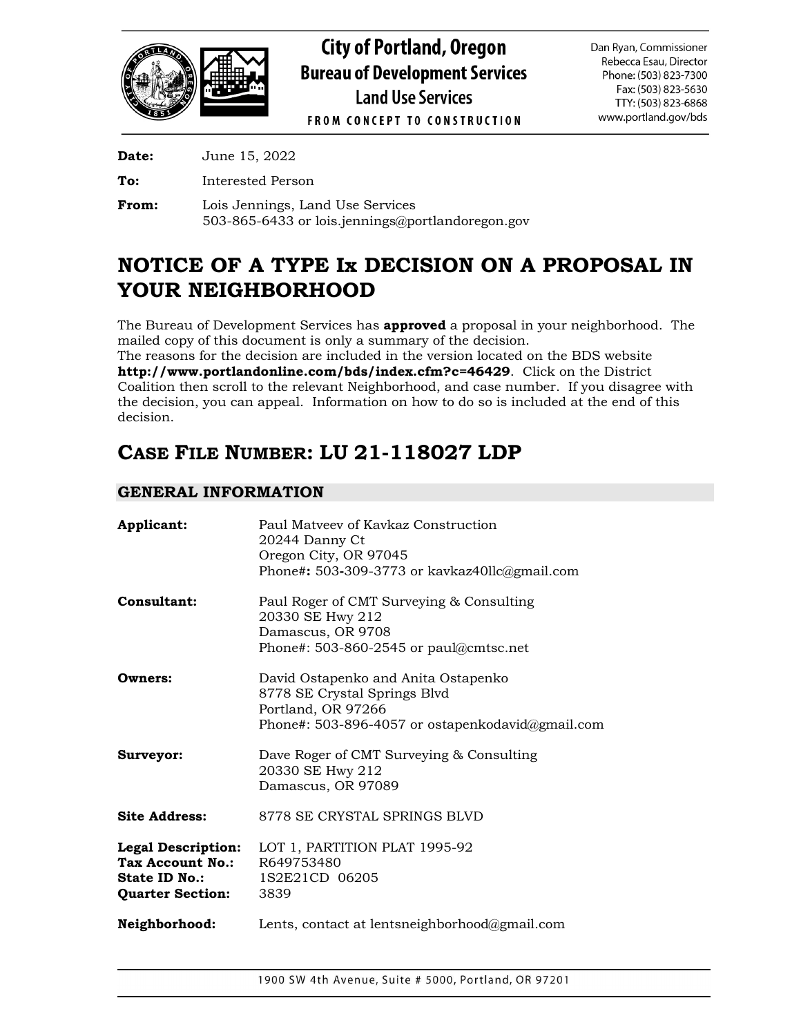

**Date:** June 15, 2022

**To:** Interested Person

**From:** Lois Jennings, Land Use Services 503-865-6433 or lois.jennings@portlandoregon.gov

# **NOTICE OF A TYPE Ix DECISION ON A PROPOSAL IN YOUR NEIGHBORHOOD**

The Bureau of Development Services has **approved** a proposal in your neighborhood. The mailed copy of this document is only a summary of the decision.

The reasons for the decision are included in the version located on the BDS website **<http://www.portlandonline.com/bds/index.cfm?c=46429>**. Click on the District Coalition then scroll to the relevant Neighborhood, and case number. If you disagree with the decision, you can appeal. Information on how to do so is included at the end of this decision.

# **CASE FILE NUMBER: LU 21-118027 LDP**

# **GENERAL INFORMATION**

| Applicant:                                                                                | Paul Matveev of Kavkaz Construction<br>20244 Danny Ct<br>Oregon City, OR 97045<br>Phone#: 503-309-3773 or kavkaz40llc@gmail.com               |
|-------------------------------------------------------------------------------------------|-----------------------------------------------------------------------------------------------------------------------------------------------|
| Consultant:                                                                               | Paul Roger of CMT Surveying & Consulting<br>20330 SE Hwy 212<br>Damascus, OR 9708<br>Phone#: $503-860-2545$ or $paul@cmtsc.net$               |
| Owners:                                                                                   | David Ostapenko and Anita Ostapenko<br>8778 SE Crystal Springs Blvd<br>Portland, OR 97266<br>Phone#: 503-896-4057 or ostapenkodavid@gmail.com |
| Surveyor:                                                                                 | Dave Roger of CMT Surveying & Consulting<br>20330 SE Hwy 212<br>Damascus, OR 97089                                                            |
| <b>Site Address:</b>                                                                      | 8778 SE CRYSTAL SPRINGS BLVD                                                                                                                  |
| <b>Legal Description:</b><br>Tax Account No.:<br>State ID No.:<br><b>Quarter Section:</b> | LOT 1, PARTITION PLAT 1995-92<br>R649753480<br>1S2E21CD 06205<br>3839                                                                         |
| Neighborhood:                                                                             | Lents, contact at lentsneighborhood@gmail.com                                                                                                 |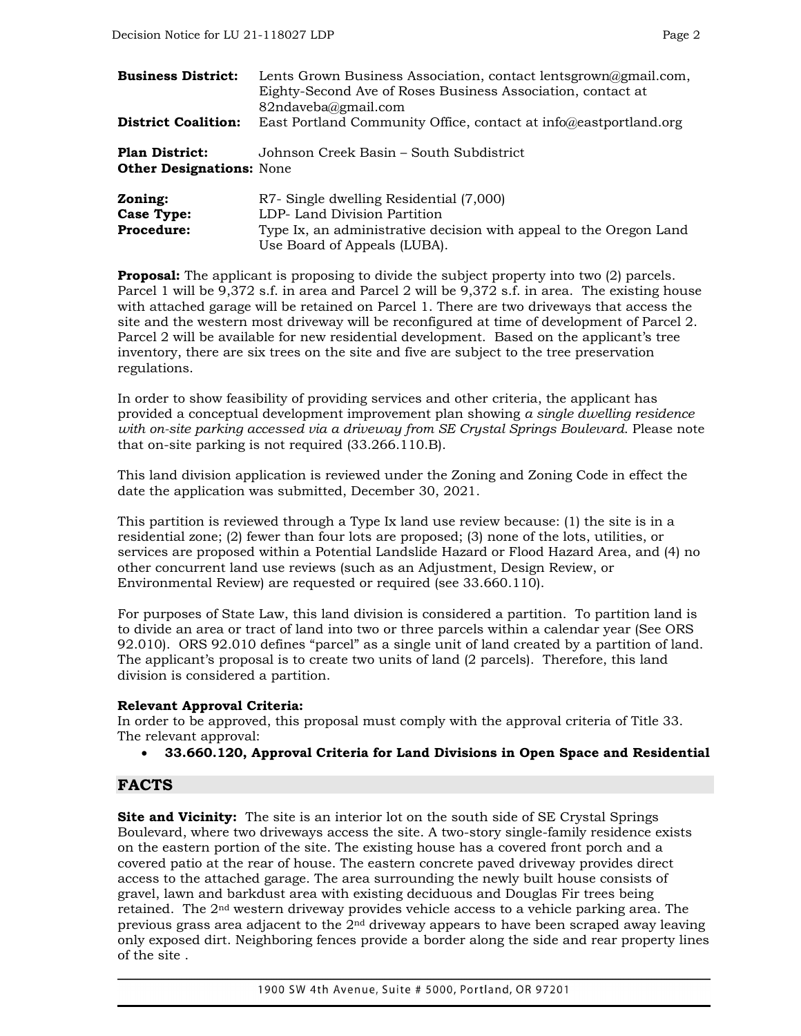| <b>Business District:</b>                                | Lents Grown Business Association, contact lentsgrown@gmail.com,<br>Eighty-Second Ave of Roses Business Association, contact at<br>82ndaveba@gmail.com |
|----------------------------------------------------------|-------------------------------------------------------------------------------------------------------------------------------------------------------|
| <b>District Coalition:</b>                               | East Portland Community Office, contact at info@eastportland.org                                                                                      |
| <b>Plan District:</b><br><b>Other Designations: None</b> | Johnson Creek Basin – South Subdistrict                                                                                                               |
| Zoning:                                                  | R7- Single dwelling Residential (7,000)                                                                                                               |

| ZUMMR.     | <u>N<sub>I</sub>- Single</u> Gweiling Residential (1,000)          |
|------------|--------------------------------------------------------------------|
| Case Type: | LDP- Land Division Partition                                       |
| Procedure: | Type Ix, an administrative decision with appeal to the Oregon Land |
|            | Use Board of Appeals (LUBA).                                       |

**Proposal:** The applicant is proposing to divide the subject property into two (2) parcels. Parcel 1 will be 9,372 s.f. in area and Parcel 2 will be 9,372 s.f. in area. The existing house with attached garage will be retained on Parcel 1. There are two driveways that access the site and the western most driveway will be reconfigured at time of development of Parcel 2. Parcel 2 will be available for new residential development. Based on the applicant's tree inventory, there are six trees on the site and five are subject to the tree preservation regulations.

In order to show feasibility of providing services and other criteria, the applicant has provided a conceptual development improvement plan showing *a single dwelling residence with on-site parking accessed via a driveway from SE Crystal Springs Boulevard*. Please note that on-site parking is not required (33.266.110.B).

This land division application is reviewed under the Zoning and Zoning Code in effect the date the application was submitted, December 30, 2021.

This partition is reviewed through a Type Ix land use review because: (1) the site is in a residential zone; (2) fewer than four lots are proposed; (3) none of the lots, utilities, or services are proposed within a Potential Landslide Hazard or Flood Hazard Area, and (4) no other concurrent land use reviews (such as an Adjustment, Design Review, or Environmental Review) are requested or required (see 33.660.110).

For purposes of State Law, this land division is considered a partition. To partition land is to divide an area or tract of land into two or three parcels within a calendar year (See ORS 92.010). ORS 92.010 defines "parcel" as a single unit of land created by a partition of land. The applicant's proposal is to create two units of land (2 parcels). Therefore, this land division is considered a partition.

## **Relevant Approval Criteria:**

In order to be approved, this proposal must comply with the approval criteria of Title 33. The relevant approval:

• **33.660.120, Approval Criteria for Land Divisions in Open Space and Residential** 

# **FACTS**

**Site and Vicinity:** The site is an interior lot on the south side of SE Crystal Springs Boulevard, where two driveways access the site. A two-story single-family residence exists on the eastern portion of the site. The existing house has a covered front porch and a covered patio at the rear of house. The eastern concrete paved driveway provides direct access to the attached garage. The area surrounding the newly built house consists of gravel, lawn and barkdust area with existing deciduous and Douglas Fir trees being retained. The  $2<sup>nd</sup>$  western driveway provides vehicle access to a vehicle parking area. The previous grass area adjacent to the  $2<sup>nd</sup>$  driveway appears to have been scraped away leaving only exposed dirt. Neighboring fences provide a border along the side and rear property lines of the site .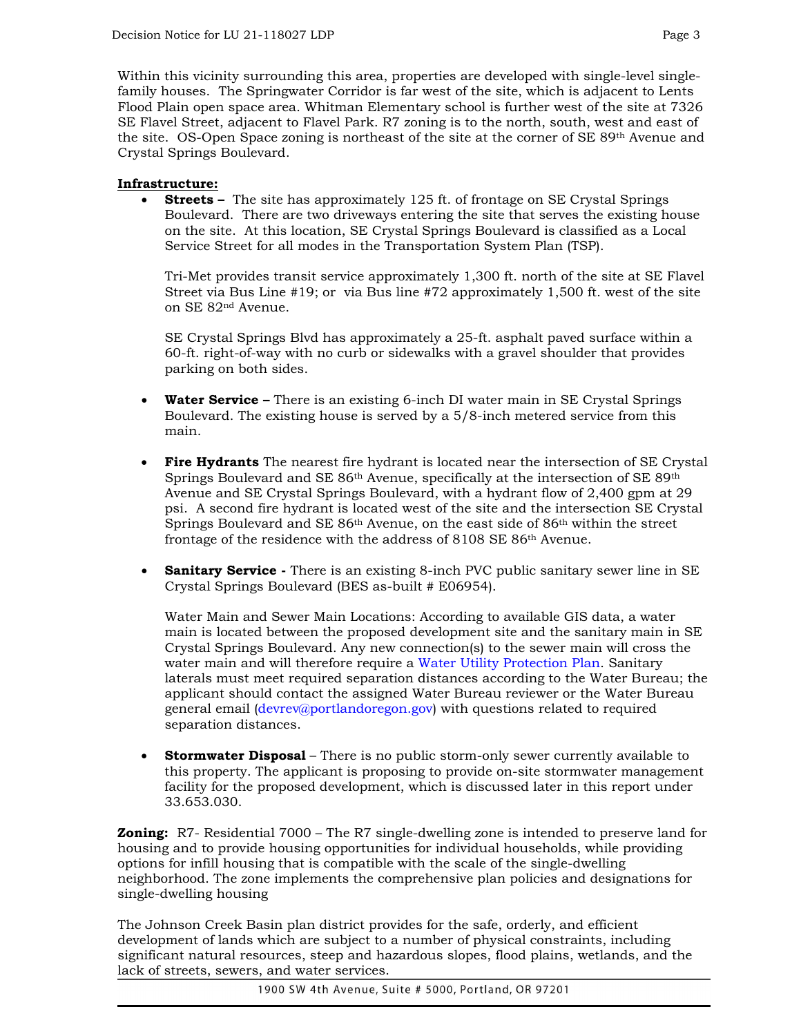Within this vicinity surrounding this area, properties are developed with single-level singlefamily houses. The Springwater Corridor is far west of the site, which is adjacent to Lents Flood Plain open space area. Whitman Elementary school is further west of the site at 7326 SE Flavel Street, adjacent to Flavel Park. R7 zoning is to the north, south, west and east of the site. OS-Open Space zoning is northeast of the site at the corner of SE 89th Avenue and Crystal Springs Boulevard.

## **Infrastructure:**

• **Streets** – The site has approximately 125 ft. of frontage on SE Crystal Springs Boulevard. There are two driveways entering the site that serves the existing house on the site. At this location, SE Crystal Springs Boulevard is classified as a Local Service Street for all modes in the Transportation System Plan (TSP).

Tri-Met provides transit service approximately 1,300 ft. north of the site at SE Flavel Street via Bus Line #19; or via Bus line #72 approximately 1,500 ft. west of the site on SE 82nd Avenue.

SE Crystal Springs Blvd has approximately a 25-ft. asphalt paved surface within a 60-ft. right-of-way with no curb or sidewalks with a gravel shoulder that provides parking on both sides.

- **Water Service –** There is an existing 6-inch DI water main in SE Crystal Springs Boulevard. The existing house is served by a 5/8-inch metered service from this main.
- **Fire Hydrants** The nearest fire hydrant is located near the intersection of SE Crystal Springs Boulevard and SE 86th Avenue, specifically at the intersection of SE 89th Avenue and SE Crystal Springs Boulevard, with a hydrant flow of 2,400 gpm at 29 psi. A second fire hydrant is located west of the site and the intersection SE Crystal Springs Boulevard and SE 86th Avenue, on the east side of 86th within the street frontage of the residence with the address of 8108 SE 86th Avenue.
- **Sanitary Service** There is an existing 8-inch PVC public sanitary sewer line in SE Crystal Springs Boulevard (BES as-built # E06954).

Water Main and Sewer Main Locations: According to available GIS data, a water main is located between the proposed development site and the sanitary main in SE Crystal Springs Boulevard. Any new connection(s) to the sewer main will cross the water main and will therefore require a Water Utility Protection Plan. Sanitary laterals must meet required separation distances according to the Water Bureau; the applicant should contact the assigned Water Bureau reviewer or the Water Bureau general email (devrev@portlandoregon.gov) with questions related to required separation distances.

• **Stormwater Disposal** – There is no public storm-only sewer currently available to this property. The applicant is proposing to provide on-site stormwater management facility for the proposed development, which is discussed later in this report under 33.653.030.

**Zoning:** R7- Residential 7000 – The R7 single-dwelling zone is intended to preserve land for housing and to provide housing opportunities for individual households, while providing options for infill housing that is compatible with the scale of the single-dwelling neighborhood. The zone implements the comprehensive plan policies and designations for single-dwelling housing

The Johnson Creek Basin plan district provides for the safe, orderly, and efficient development of lands which are subject to a number of physical constraints, including significant natural resources, steep and hazardous slopes, flood plains, wetlands, and the lack of streets, sewers, and water services.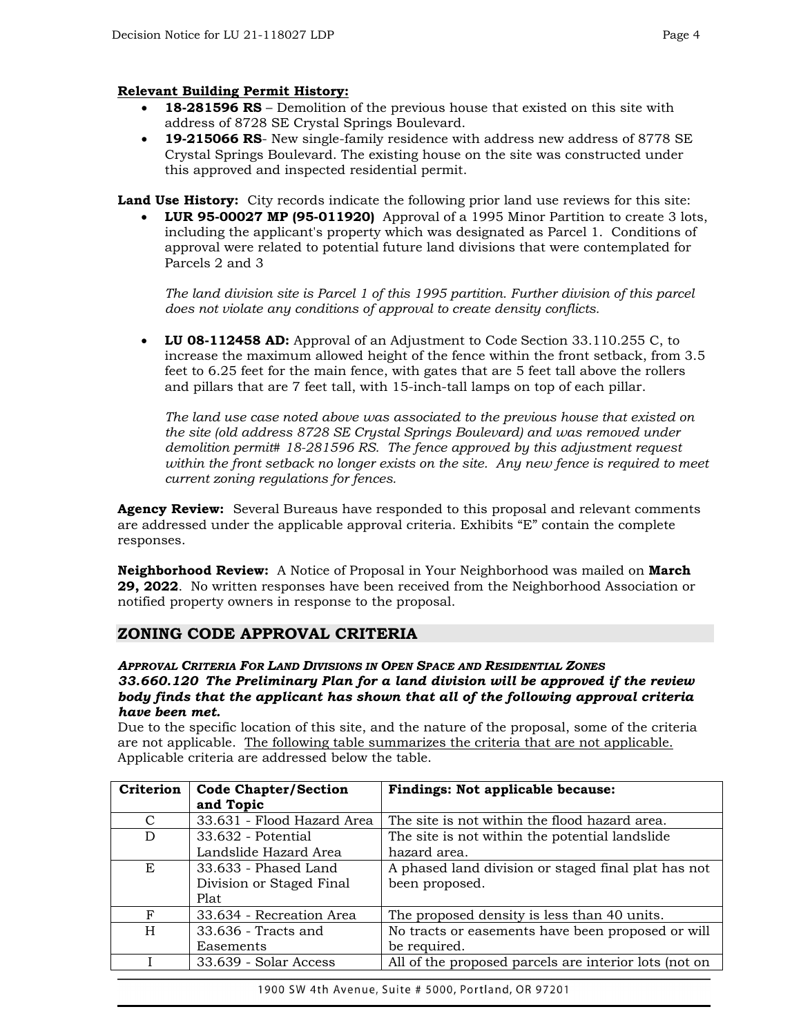## **Relevant Building Permit History:**

- **18-281596 RS** Demolition of the previous house that existed on this site with address of 8728 SE Crystal Springs Boulevard.
- **19-215066 RS** New single-family residence with address new address of 8778 SE Crystal Springs Boulevard. The existing house on the site was constructed under this approved and inspected residential permit.

Land Use History: City records indicate the following prior land use reviews for this site:

• **LUR 95-00027 MP (95-011920)** Approval of a 1995 Minor Partition to create 3 lots, including the applicant's property which was designated as Parcel 1. Conditions of approval were related to potential future land divisions that were contemplated for Parcels 2 and 3

*The land division site is Parcel 1 of this 1995 partition. Further division of this parcel does not violate any conditions of approval to create density conflicts.*

• **LU 08-112458 AD:** Approval of an Adjustment to Code Section 33.110.255 C, to increase the maximum allowed height of the fence within the front setback, from 3.5 feet to 6.25 feet for the main fence, with gates that are 5 feet tall above the rollers and pillars that are 7 feet tall, with 15-inch-tall lamps on top of each pillar.

*The land use case noted above was associated to the previous house that existed on the site (old address 8728 SE Crystal Springs Boulevard) and was removed under demolition permit# 18-281596 RS. The fence approved by this adjustment request within the front setback no longer exists on the site. Any new fence is required to meet current zoning regulations for fences.*

**Agency Review:** Several Bureaus have responded to this proposal and relevant comments are addressed under the applicable approval criteria. Exhibits "E" contain the complete responses.

**Neighborhood Review:** A Notice of Proposal in Your Neighborhood was mailed on **March 29, 2022**. No written responses have been received from the Neighborhood Association or notified property owners in response to the proposal.

# **ZONING CODE APPROVAL CRITERIA**

## *APPROVAL CRITERIA FOR LAND DIVISIONS IN OPEN SPACE AND RESIDENTIAL ZONES 33.660.120 The Preliminary Plan for a land division will be approved if the review body finds that the applicant has shown that all of the following approval criteria have been met.*

Due to the specific location of this site, and the nature of the proposal, some of the criteria are not applicable. The following table summarizes the criteria that are not applicable. Applicable criteria are addressed below the table.

| Criterion   | <b>Code Chapter/Section</b> | Findings: Not applicable because:                     |  |
|-------------|-----------------------------|-------------------------------------------------------|--|
|             | and Topic                   |                                                       |  |
| C           | 33.631 - Flood Hazard Area  | The site is not within the flood hazard area.         |  |
| D           | 33.632 - Potential          | The site is not within the potential landslide        |  |
|             | Landslide Hazard Area       | hazard area.                                          |  |
| E           | 33.633 - Phased Land        | A phased land division or staged final plat has not   |  |
|             | Division or Staged Final    | been proposed.                                        |  |
|             | Plat                        |                                                       |  |
| $\mathbf F$ | 33.634 - Recreation Area    | The proposed density is less than 40 units.           |  |
| H           | 33.636 - Tracts and         | No tracts or easements have been proposed or will     |  |
|             | Easements                   | be required.                                          |  |
|             | 33.639 - Solar Access       | All of the proposed parcels are interior lots (not on |  |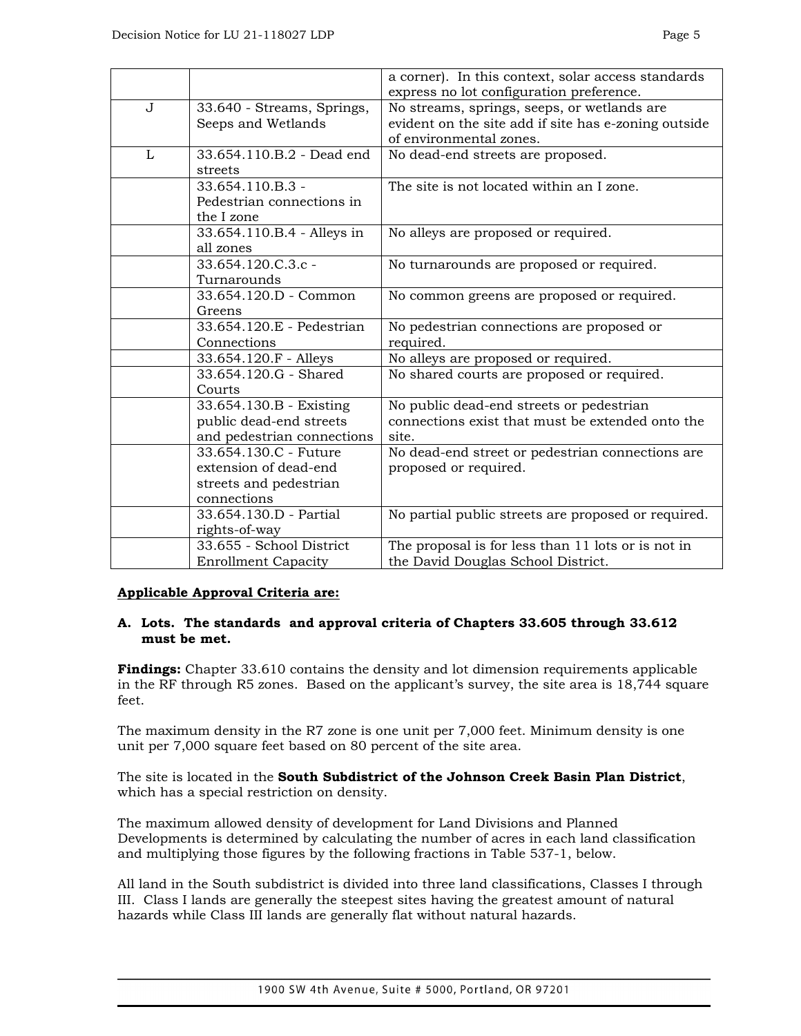|   |                            | a corner). In this context, solar access standards   |
|---|----------------------------|------------------------------------------------------|
|   |                            | express no lot configuration preference.             |
| J | 33.640 - Streams, Springs, | No streams, springs, seeps, or wetlands are          |
|   | Seeps and Wetlands         | evident on the site add if site has e-zoning outside |
|   |                            | of environmental zones.                              |
| L | 33.654.110.B.2 - Dead end  | No dead-end streets are proposed.                    |
|   | streets                    |                                                      |
|   | 33.654.110.B.3 -           | The site is not located within an I zone.            |
|   | Pedestrian connections in  |                                                      |
|   | the I zone                 |                                                      |
|   | 33.654.110.B.4 - Alleys in | No alleys are proposed or required.                  |
|   | all zones                  |                                                      |
|   | 33.654.120.C.3.c -         | No turnarounds are proposed or required.             |
|   | Turnarounds                |                                                      |
|   | 33.654.120.D - Common      | No common greens are proposed or required.           |
|   | Greens                     |                                                      |
|   | 33.654.120.E - Pedestrian  | No pedestrian connections are proposed or            |
|   | Connections                | required.                                            |
|   | 33.654.120.F - Alleys      | No alleys are proposed or required.                  |
|   | 33.654.120.G - Shared      | No shared courts are proposed or required.           |
|   | Courts                     |                                                      |
|   | 33.654.130.B - Existing    | No public dead-end streets or pedestrian             |
|   | public dead-end streets    | connections exist that must be extended onto the     |
|   | and pedestrian connections | site.                                                |
|   | 33.654.130.C - Future      | No dead-end street or pedestrian connections are     |
|   | extension of dead-end      | proposed or required.                                |
|   | streets and pedestrian     |                                                      |
|   | connections                |                                                      |
|   | 33.654.130.D - Partial     | No partial public streets are proposed or required.  |
|   | rights-of-way              |                                                      |
|   | 33.655 - School District   | The proposal is for less than 11 lots or is not in   |
|   | <b>Enrollment Capacity</b> | the David Douglas School District.                   |

#### **Applicable Approval Criteria are:**

#### **A. Lots. The standards and approval criteria of Chapters 33.605 through 33.612 must be met.**

**Findings:** Chapter 33.610 contains the density and lot dimension requirements applicable in the RF through R5 zones. Based on the applicant's survey, the site area is 18,744 square feet.

The maximum density in the R7 zone is one unit per 7,000 feet. Minimum density is one unit per 7,000 square feet based on 80 percent of the site area.

The site is located in the **South Subdistrict of the Johnson Creek Basin Plan District**, which has a special restriction on density.

The maximum allowed density of development for Land Divisions and Planned Developments is determined by calculating the number of acres in each land classification and multiplying those figures by the following fractions in Table 537-1, below.

All land in the South subdistrict is divided into three land classifications, Classes I through III. Class I lands are generally the steepest sites having the greatest amount of natural hazards while Class III lands are generally flat without natural hazards.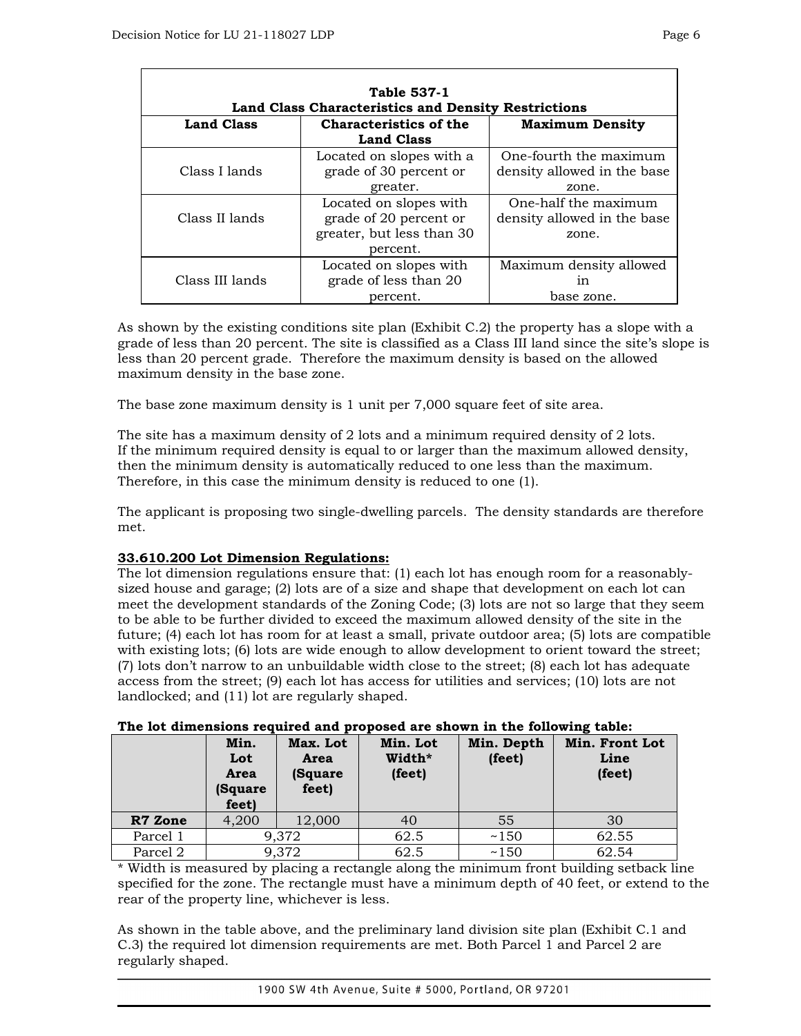| <b>Table 537-1</b><br>Land Class Characteristics and Density Restrictions |                                                                                           |                                                                |  |
|---------------------------------------------------------------------------|-------------------------------------------------------------------------------------------|----------------------------------------------------------------|--|
| <b>Land Class</b>                                                         | <b>Characteristics of the</b><br><b>Land Class</b>                                        | <b>Maximum Density</b>                                         |  |
| Class I lands                                                             | Located on slopes with a<br>grade of 30 percent or<br>greater.                            | One-fourth the maximum<br>density allowed in the base<br>zone. |  |
| Class II lands                                                            | Located on slopes with<br>grade of 20 percent or<br>greater, but less than 30<br>percent. | One-half the maximum<br>density allowed in the base<br>zone.   |  |
| Class III lands                                                           | Located on slopes with<br>grade of less than 20<br>percent.                               | Maximum density allowed<br>1n<br>base zone.                    |  |

As shown by the existing conditions site plan (Exhibit C.2) the property has a slope with a grade of less than 20 percent. The site is classified as a Class III land since the site's slope is less than 20 percent grade. Therefore the maximum density is based on the allowed maximum density in the base zone.

The base zone maximum density is 1 unit per 7,000 square feet of site area.

The site has a maximum density of 2 lots and a minimum required density of 2 lots. If the minimum required density is equal to or larger than the maximum allowed density, then the minimum density is automatically reduced to one less than the maximum. Therefore, in this case the minimum density is reduced to one (1).

The applicant is proposing two single-dwelling parcels. The density standards are therefore met.

## **33.610.200 Lot Dimension Regulations:**

The lot dimension regulations ensure that: (1) each lot has enough room for a reasonablysized house and garage; (2) lots are of a size and shape that development on each lot can meet the development standards of the Zoning Code; (3) lots are not so large that they seem to be able to be further divided to exceed the maximum allowed density of the site in the future; (4) each lot has room for at least a small, private outdoor area; (5) lots are compatible with existing lots; (6) lots are wide enough to allow development to orient toward the street; (7) lots don't narrow to an unbuildable width close to the street; (8) each lot has adequate access from the street; (9) each lot has access for utilities and services; (10) lots are not landlocked; and (11) lot are regularly shaped.

|          | Min.<br>Lot<br>Area<br>(Square<br>feet) | Max. Lot<br>Area<br>(Square<br>feet) | Min. Lot<br>Width*<br>(feet) | Min. Depth<br>(feet) | Min. Front Lot<br>Line<br>(feet) |
|----------|-----------------------------------------|--------------------------------------|------------------------------|----------------------|----------------------------------|
| R7 Zone  | 4,200                                   | 12,000                               | 40                           | 55                   | 30                               |
| Parcel 1 |                                         | 9,372                                | 62.5                         | ~150                 | 62.55                            |
| Parcel 2 |                                         | 9,372                                | 62.5                         | ~150                 | 62.54                            |

#### **The lot dimensions required and proposed are shown in the following table:**

\* Width is measured by placing a rectangle along the minimum front building setback line specified for the zone. The rectangle must have a minimum depth of 40 feet, or extend to the rear of the property line, whichever is less.

As shown in the table above, and the preliminary land division site plan (Exhibit C.1 and C.3) the required lot dimension requirements are met. Both Parcel 1 and Parcel 2 are regularly shaped.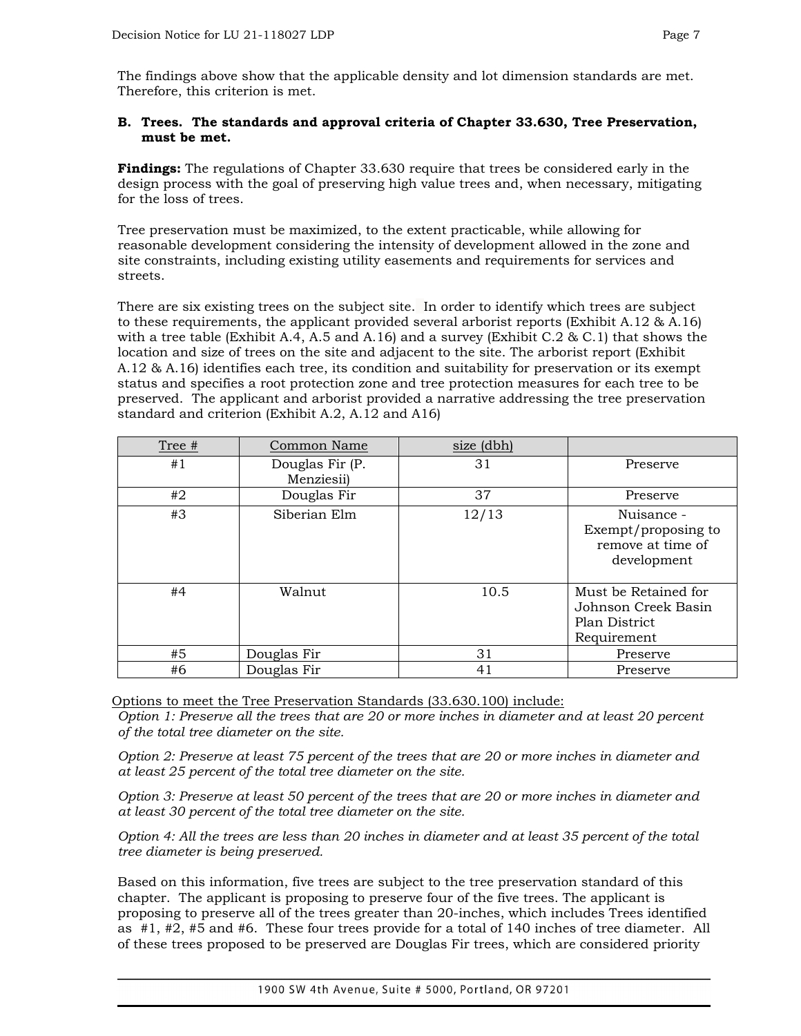The findings above show that the applicable density and lot dimension standards are met. Therefore, this criterion is met.

## **B. Trees. The standards and approval criteria of Chapter 33.630, Tree Preservation, must be met.**

**Findings:** The regulations of Chapter 33.630 require that trees be considered early in the design process with the goal of preserving high value trees and, when necessary, mitigating for the loss of trees.

Tree preservation must be maximized, to the extent practicable, while allowing for reasonable development considering the intensity of development allowed in the zone and site constraints, including existing utility easements and requirements for services and streets.

There are six existing trees on the subject site. In order to identify which trees are subject to these requirements, the applicant provided several arborist reports (Exhibit A.12 & A.16) with a tree table (Exhibit A.4, A.5 and A.16) and a survey (Exhibit C.2  $\&$  C.1) that shows the location and size of trees on the site and adjacent to the site. The arborist report (Exhibit A.12 & A.16) identifies each tree, its condition and suitability for preservation or its exempt status and specifies a root protection zone and tree protection measures for each tree to be preserved. The applicant and arborist provided a narrative addressing the tree preservation standard and criterion (Exhibit A.2, A.12 and A16)

| Tree # | Common Name                   | size (dbh) |                                                                             |
|--------|-------------------------------|------------|-----------------------------------------------------------------------------|
| #1     | Douglas Fir (P.<br>Menziesii) | 31         | Preserve                                                                    |
| #2     | Douglas Fir                   | 37         | Preserve                                                                    |
| #3     | Siberian Elm                  | 12/13      | Nuisance -<br>Exempt/proposing to<br>remove at time of<br>development       |
| #4     | Walnut                        | 10.5       | Must be Retained for<br>Johnson Creek Basin<br>Plan District<br>Requirement |
| #5     | Douglas Fir                   | 31         | Preserve                                                                    |
| #6     | Douglas Fir                   | 41         | Preserve                                                                    |

Options to meet the Tree Preservation Standards (33.630.100) include:

*Option 1: Preserve all the trees that are 20 or more inches in diameter and at least 20 percent of the total tree diameter on the site.* 

*Option 2: Preserve at least 75 percent of the trees that are 20 or more inches in diameter and at least 25 percent of the total tree diameter on the site.*

*Option 3: Preserve at least 50 percent of the trees that are 20 or more inches in diameter and at least 30 percent of the total tree diameter on the site.* 

*Option 4: All the trees are less than 20 inches in diameter and at least 35 percent of the total tree diameter is being preserved.* 

Based on this information, five trees are subject to the tree preservation standard of this chapter. The applicant is proposing to preserve four of the five trees. The applicant is proposing to preserve all of the trees greater than 20-inches, which includes Trees identified as #1, #2, #5 and #6. These four trees provide for a total of 140 inches of tree diameter. All of these trees proposed to be preserved are Douglas Fir trees, which are considered priority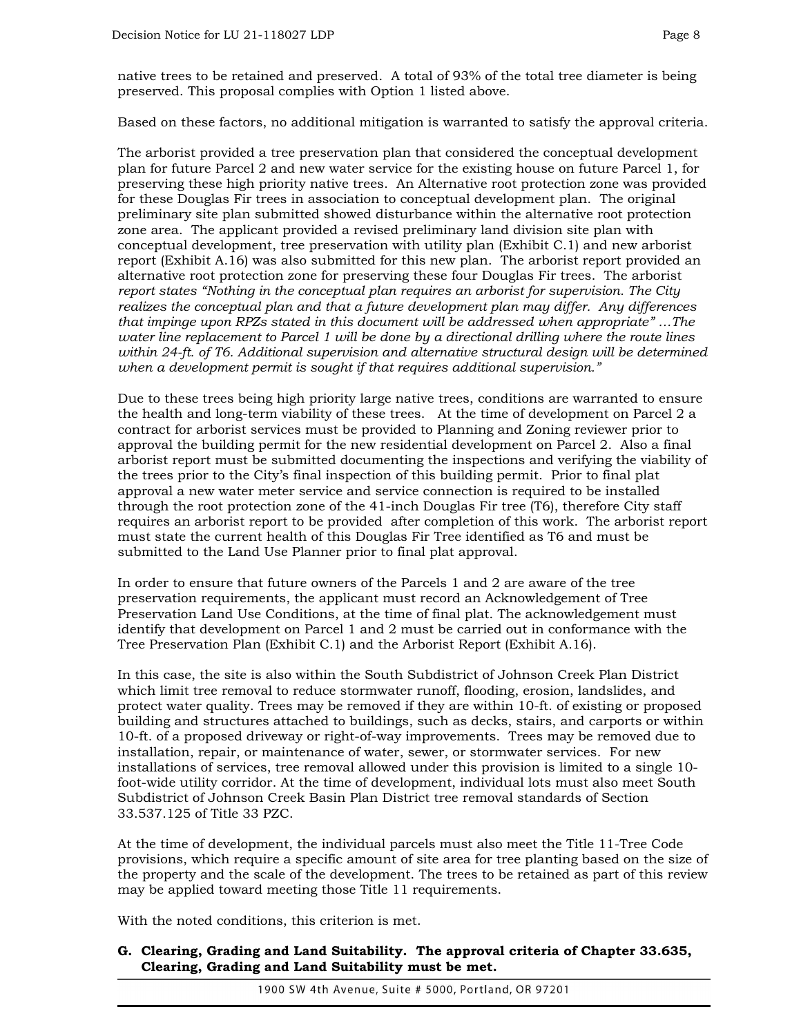native trees to be retained and preserved. A total of 93% of the total tree diameter is being preserved. This proposal complies with Option 1 listed above.

Based on these factors, no additional mitigation is warranted to satisfy the approval criteria.

The arborist provided a tree preservation plan that considered the conceptual development plan for future Parcel 2 and new water service for the existing house on future Parcel 1, for preserving these high priority native trees. An Alternative root protection zone was provided for these Douglas Fir trees in association to conceptual development plan. The original preliminary site plan submitted showed disturbance within the alternative root protection zone area. The applicant provided a revised preliminary land division site plan with conceptual development, tree preservation with utility plan (Exhibit C.1) and new arborist report (Exhibit A.16) was also submitted for this new plan. The arborist report provided an alternative root protection zone for preserving these four Douglas Fir trees. The arborist *report states "Nothing in the conceptual plan requires an arborist for supervision. The City realizes the conceptual plan and that a future development plan may differ. Any differences that impinge upon RPZs stated in this document will be addressed when appropriate" …The water line replacement to Parcel 1 will be done by a directional drilling where the route lines within 24-ft. of T6. Additional supervision and alternative structural design will be determined when a development permit is sought if that requires additional supervision."*

Due to these trees being high priority large native trees, conditions are warranted to ensure the health and long-term viability of these trees. At the time of development on Parcel 2 a contract for arborist services must be provided to Planning and Zoning reviewer prior to approval the building permit for the new residential development on Parcel 2. Also a final arborist report must be submitted documenting the inspections and verifying the viability of the trees prior to the City's final inspection of this building permit. Prior to final plat approval a new water meter service and service connection is required to be installed through the root protection zone of the 41-inch Douglas Fir tree (T6), therefore City staff requires an arborist report to be provided after completion of this work. The arborist report must state the current health of this Douglas Fir Tree identified as T6 and must be submitted to the Land Use Planner prior to final plat approval.

In order to ensure that future owners of the Parcels 1 and 2 are aware of the tree preservation requirements, the applicant must record an Acknowledgement of Tree Preservation Land Use Conditions, at the time of final plat. The acknowledgement must identify that development on Parcel 1 and 2 must be carried out in conformance with the Tree Preservation Plan (Exhibit C.1) and the Arborist Report (Exhibit A.16).

In this case, the site is also within the South Subdistrict of Johnson Creek Plan District which limit tree removal to reduce stormwater runoff, flooding, erosion, landslides, and protect water quality. Trees may be removed if they are within 10-ft. of existing or proposed building and structures attached to buildings, such as decks, stairs, and carports or within 10-ft. of a proposed driveway or right-of-way improvements. Trees may be removed due to installation, repair, or maintenance of water, sewer, or stormwater services. For new installations of services, tree removal allowed under this provision is limited to a single 10 foot-wide utility corridor. At the time of development, individual lots must also meet South Subdistrict of Johnson Creek Basin Plan District tree removal standards of Section 33.537.125 of Title 33 PZC.

At the time of development, the individual parcels must also meet the Title 11-Tree Code provisions, which require a specific amount of site area for tree planting based on the size of the property and the scale of the development. The trees to be retained as part of this review may be applied toward meeting those Title 11 requirements.

With the noted conditions, this criterion is met.

## **G. Clearing, Grading and Land Suitability. The approval criteria of Chapter 33.635, Clearing, Grading and Land Suitability must be met.**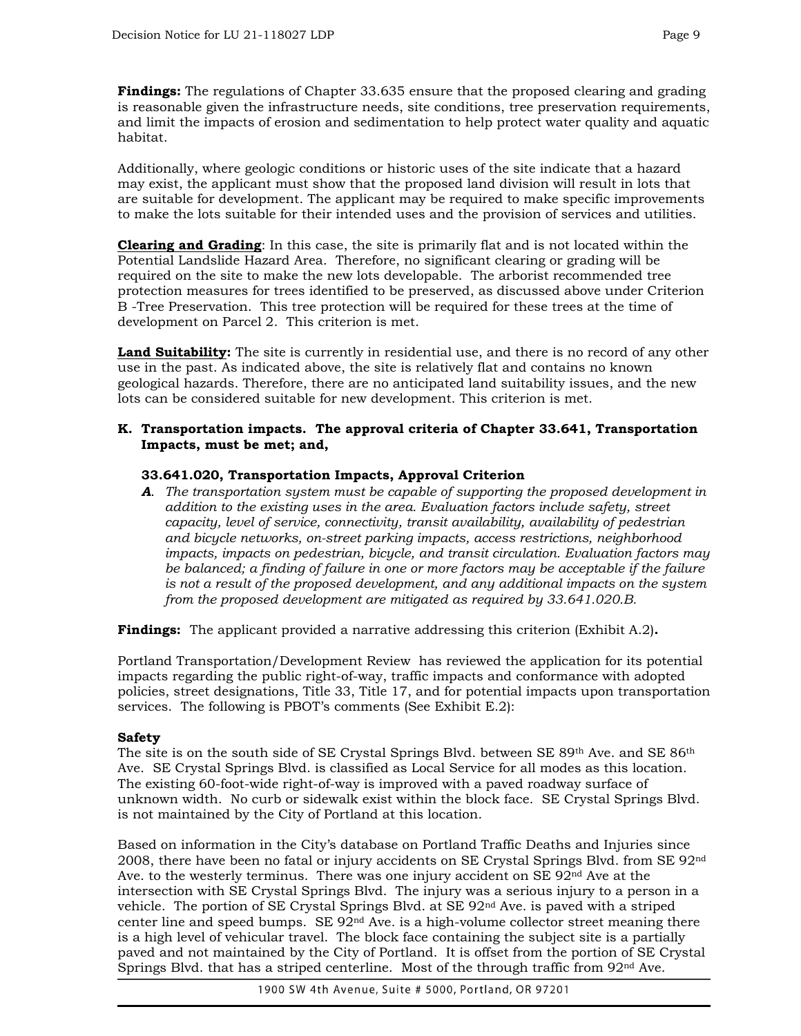**Findings:** The regulations of Chapter 33.635 ensure that the proposed clearing and grading is reasonable given the infrastructure needs, site conditions, tree preservation requirements, and limit the impacts of erosion and sedimentation to help protect water quality and aquatic habitat.

Additionally, where geologic conditions or historic uses of the site indicate that a hazard may exist, the applicant must show that the proposed land division will result in lots that are suitable for development. The applicant may be required to make specific improvements to make the lots suitable for their intended uses and the provision of services and utilities.

**Clearing and Grading**: In this case, the site is primarily flat and is not located within the Potential Landslide Hazard Area. Therefore, no significant clearing or grading will be required on the site to make the new lots developable. The arborist recommended tree protection measures for trees identified to be preserved, as discussed above under Criterion B -Tree Preservation. This tree protection will be required for these trees at the time of development on Parcel 2. This criterion is met.

**Land Suitability:** The site is currently in residential use, and there is no record of any other use in the past. As indicated above, the site is relatively flat and contains no known geological hazards. Therefore, there are no anticipated land suitability issues, and the new lots can be considered suitable for new development. This criterion is met.

## **K. Transportation impacts. The approval criteria of Chapter 33.641, Transportation Impacts, must be met; and,**

## **33.641.020, Transportation Impacts, Approval Criterion**

*A*. *The transportation system must be capable of supporting the proposed development in addition to the existing uses in the area. Evaluation factors include safety, street capacity, level of service, connectivity, transit availability, availability of pedestrian and bicycle networks, on-street parking impacts, access restrictions, neighborhood impacts, impacts on pedestrian, bicycle, and transit circulation. Evaluation factors may be balanced; a finding of failure in one or more factors may be acceptable if the failure is not a result of the proposed development, and any additional impacts on the system from the proposed development are mitigated as required by 33.641.020.B.*

**Findings:** The applicant provided a narrative addressing this criterion (Exhibit A.2)**.** 

Portland Transportation/Development Review has reviewed the application for its potential impacts regarding the public right-of-way, traffic impacts and conformance with adopted policies, street designations, Title 33, Title 17, and for potential impacts upon transportation services. The following is PBOT's comments (See Exhibit E.2):

## **Safety**

The site is on the south side of SE Crystal Springs Blvd. between SE 89th Ave. and SE 86th Ave. SE Crystal Springs Blvd. is classified as Local Service for all modes as this location. The existing 60-foot-wide right-of-way is improved with a paved roadway surface of unknown width. No curb or sidewalk exist within the block face. SE Crystal Springs Blvd. is not maintained by the City of Portland at this location.

Based on information in the City's database on Portland Traffic Deaths and Injuries since 2008, there have been no fatal or injury accidents on SE Crystal Springs Blvd. from SE 92nd Ave. to the westerly terminus. There was one injury accident on SE 92nd Ave at the intersection with SE Crystal Springs Blvd. The injury was a serious injury to a person in a vehicle. The portion of SE Crystal Springs Blvd. at SE 92nd Ave. is paved with a striped center line and speed bumps. SE  $92<sup>nd</sup>$  Ave. is a high-volume collector street meaning there is a high level of vehicular travel. The block face containing the subject site is a partially paved and not maintained by the City of Portland. It is offset from the portion of SE Crystal Springs Blvd. that has a striped centerline. Most of the through traffic from  $92<sup>nd</sup>$  Ave.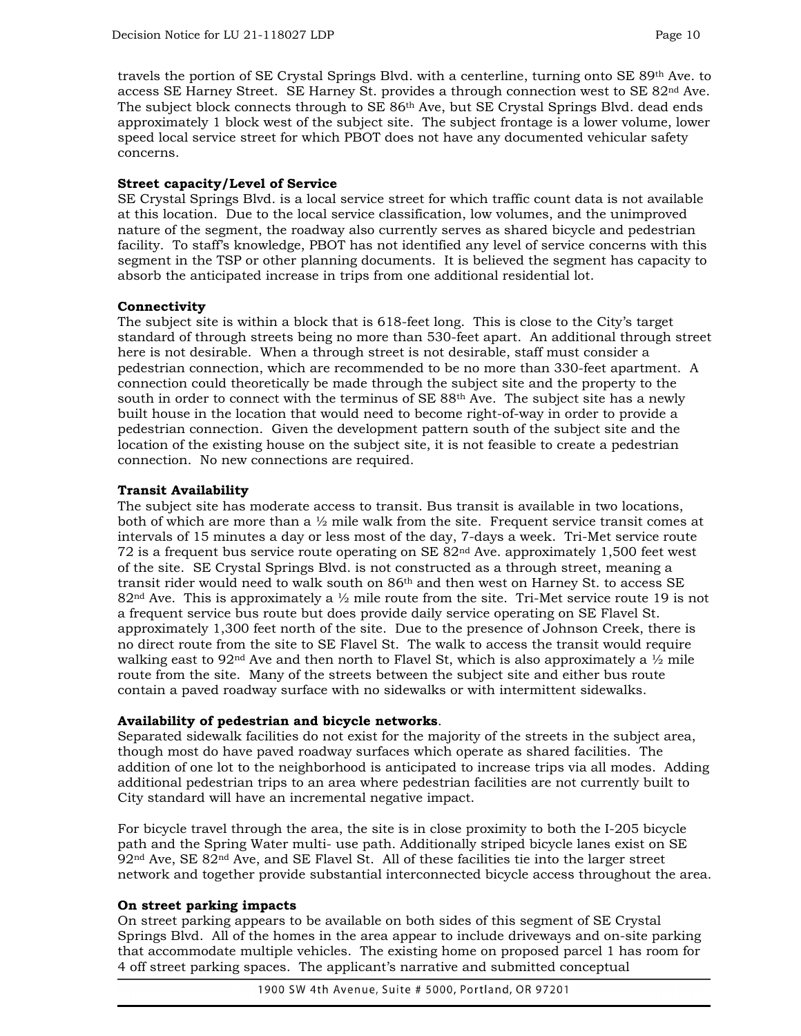travels the portion of SE Crystal Springs Blvd. with a centerline, turning onto SE 89th Ave. to access SE Harney Street. SE Harney St. provides a through connection west to SE 82nd Ave. The subject block connects through to SE 86th Ave, but SE Crystal Springs Blvd. dead ends approximately 1 block west of the subject site. The subject frontage is a lower volume, lower speed local service street for which PBOT does not have any documented vehicular safety concerns.

## **Street capacity/Level of Service**

SE Crystal Springs Blvd. is a local service street for which traffic count data is not available at this location. Due to the local service classification, low volumes, and the unimproved nature of the segment, the roadway also currently serves as shared bicycle and pedestrian facility. To staff's knowledge, PBOT has not identified any level of service concerns with this segment in the TSP or other planning documents. It is believed the segment has capacity to absorb the anticipated increase in trips from one additional residential lot.

## **Connectivity**

The subject site is within a block that is 618-feet long. This is close to the City's target standard of through streets being no more than 530-feet apart. An additional through street here is not desirable. When a through street is not desirable, staff must consider a pedestrian connection, which are recommended to be no more than 330-feet apartment. A connection could theoretically be made through the subject site and the property to the south in order to connect with the terminus of SE 88<sup>th</sup> Ave. The subject site has a newly built house in the location that would need to become right-of-way in order to provide a pedestrian connection. Given the development pattern south of the subject site and the location of the existing house on the subject site, it is not feasible to create a pedestrian connection. No new connections are required.

## **Transit Availability**

The subject site has moderate access to transit. Bus transit is available in two locations, both of which are more than a  $\frac{1}{2}$  mile walk from the site. Frequent service transit comes at intervals of 15 minutes a day or less most of the day, 7-days a week. Tri-Met service route 72 is a frequent bus service route operating on SE  $82<sup>nd</sup>$  Ave. approximately 1,500 feet west of the site. SE Crystal Springs Blvd. is not constructed as a through street, meaning a transit rider would need to walk south on 86th and then west on Harney St. to access SE 82<sup>nd</sup> Ave. This is approximately a  $\frac{1}{2}$  mile route from the site. Tri-Met service route 19 is not a frequent service bus route but does provide daily service operating on SE Flavel St. approximately 1,300 feet north of the site. Due to the presence of Johnson Creek, there is no direct route from the site to SE Flavel St. The walk to access the transit would require walking east to 92<sup>nd</sup> Ave and then north to Flavel St, which is also approximately a  $\frac{1}{2}$  mile route from the site. Many of the streets between the subject site and either bus route contain a paved roadway surface with no sidewalks or with intermittent sidewalks.

## **Availability of pedestrian and bicycle networks**.

Separated sidewalk facilities do not exist for the majority of the streets in the subject area, though most do have paved roadway surfaces which operate as shared facilities. The addition of one lot to the neighborhood is anticipated to increase trips via all modes. Adding additional pedestrian trips to an area where pedestrian facilities are not currently built to City standard will have an incremental negative impact.

For bicycle travel through the area, the site is in close proximity to both the I-205 bicycle path and the Spring Water multi- use path. Additionally striped bicycle lanes exist on SE  $92<sup>nd</sup>$  Ave, SE  $82<sup>nd</sup>$  Ave, and SE Flavel St. All of these facilities tie into the larger street network and together provide substantial interconnected bicycle access throughout the area.

## **On street parking impacts**

On street parking appears to be available on both sides of this segment of SE Crystal Springs Blvd. All of the homes in the area appear to include driveways and on-site parking that accommodate multiple vehicles. The existing home on proposed parcel 1 has room for 4 off street parking spaces. The applicant's narrative and submitted conceptual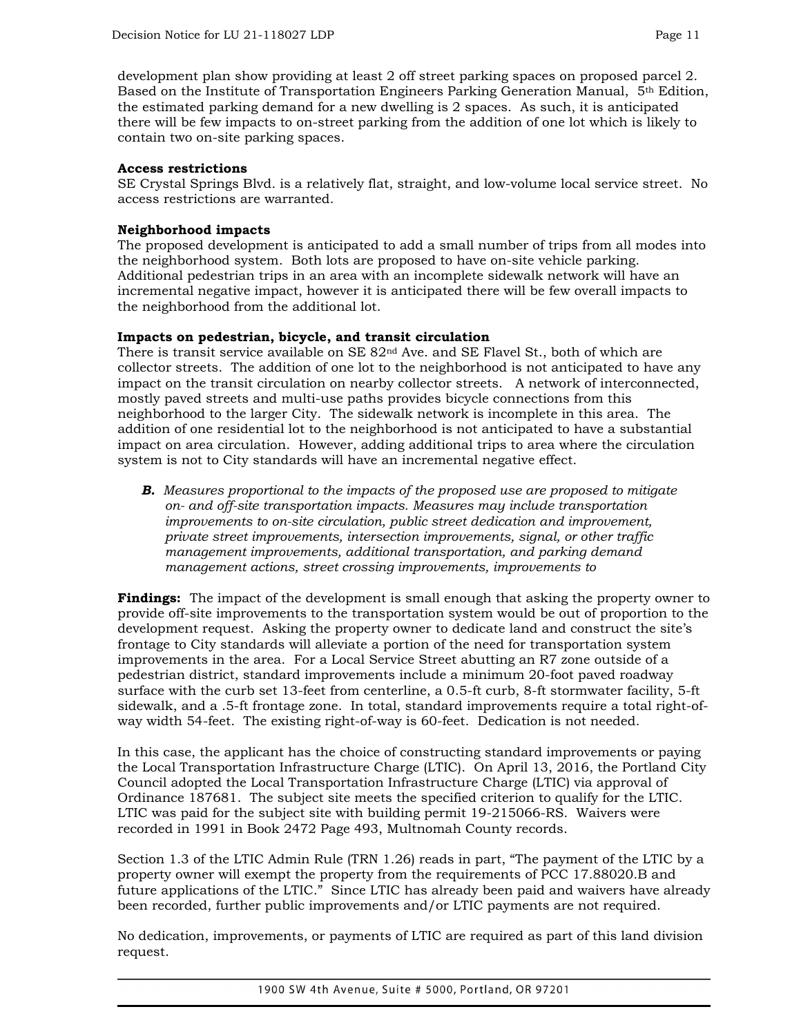development plan show providing at least 2 off street parking spaces on proposed parcel 2. Based on the Institute of Transportation Engineers Parking Generation Manual, 5th Edition, the estimated parking demand for a new dwelling is 2 spaces. As such, it is anticipated there will be few impacts to on-street parking from the addition of one lot which is likely to contain two on-site parking spaces.

#### **Access restrictions**

SE Crystal Springs Blvd. is a relatively flat, straight, and low-volume local service street. No access restrictions are warranted.

## **Neighborhood impacts**

The proposed development is anticipated to add a small number of trips from all modes into the neighborhood system. Both lots are proposed to have on-site vehicle parking. Additional pedestrian trips in an area with an incomplete sidewalk network will have an incremental negative impact, however it is anticipated there will be few overall impacts to the neighborhood from the additional lot.

## **Impacts on pedestrian, bicycle, and transit circulation**

There is transit service available on SE  $82<sup>nd</sup>$  Ave. and SE Flavel St., both of which are collector streets. The addition of one lot to the neighborhood is not anticipated to have any impact on the transit circulation on nearby collector streets. A network of interconnected, mostly paved streets and multi-use paths provides bicycle connections from this neighborhood to the larger City. The sidewalk network is incomplete in this area. The addition of one residential lot to the neighborhood is not anticipated to have a substantial impact on area circulation. However, adding additional trips to area where the circulation system is not to City standards will have an incremental negative effect.

*B. Measures proportional to the impacts of the proposed use are proposed to mitigate on- and off-site transportation impacts. Measures may include transportation improvements to on-site circulation, public street dedication and improvement, private street improvements, intersection improvements, signal, or other traffic management improvements, additional transportation, and parking demand management actions, street crossing improvements, improvements to*

**Findings:** The impact of the development is small enough that asking the property owner to provide off-site improvements to the transportation system would be out of proportion to the development request. Asking the property owner to dedicate land and construct the site's frontage to City standards will alleviate a portion of the need for transportation system improvements in the area. For a Local Service Street abutting an R7 zone outside of a pedestrian district, standard improvements include a minimum 20-foot paved roadway surface with the curb set 13-feet from centerline, a 0.5-ft curb, 8-ft stormwater facility, 5-ft sidewalk, and a .5-ft frontage zone. In total, standard improvements require a total right-ofway width 54-feet. The existing right-of-way is 60-feet. Dedication is not needed.

In this case, the applicant has the choice of constructing standard improvements or paying the Local Transportation Infrastructure Charge (LTIC). On April 13, 2016, the Portland City Council adopted the Local Transportation Infrastructure Charge (LTIC) via approval of Ordinance 187681. The subject site meets the specified criterion to qualify for the LTIC. LTIC was paid for the subject site with building permit 19-215066-RS. Waivers were recorded in 1991 in Book 2472 Page 493, Multnomah County records.

Section 1.3 of the LTIC Admin Rule (TRN 1.26) reads in part, "The payment of the LTIC by a property owner will exempt the property from the requirements of PCC 17.88020.B and future applications of the LTIC." Since LTIC has already been paid and waivers have already been recorded, further public improvements and/or LTIC payments are not required.

No dedication, improvements, or payments of LTIC are required as part of this land division request.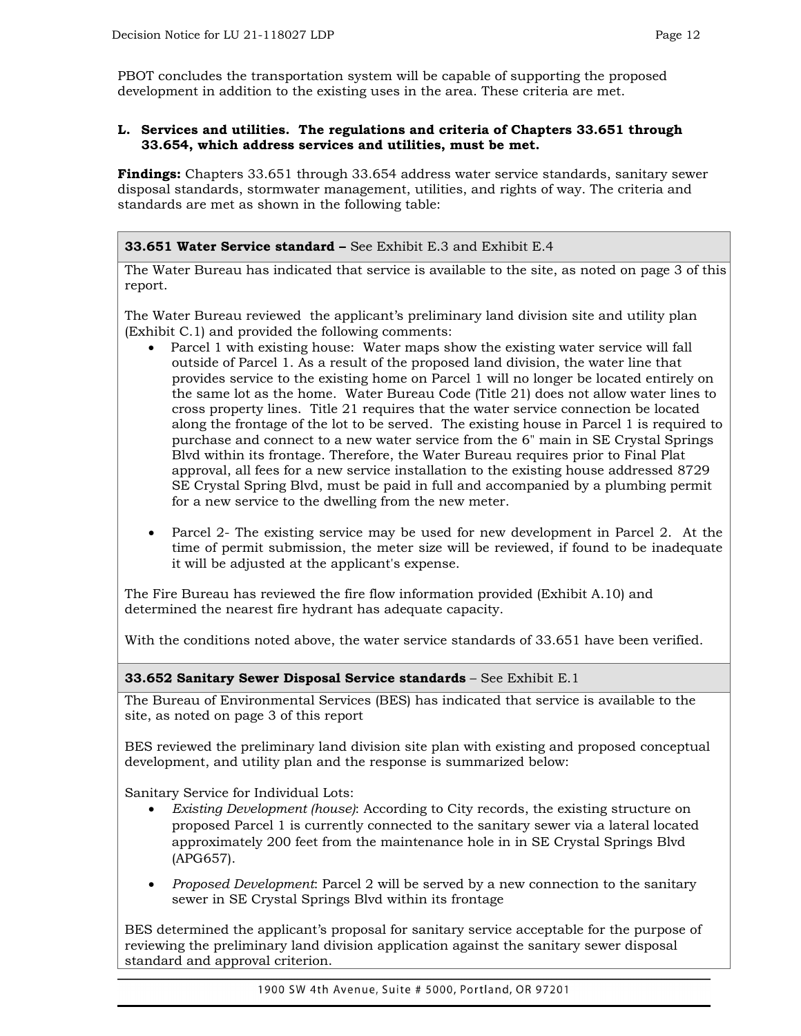PBOT concludes the transportation system will be capable of supporting the proposed development in addition to the existing uses in the area. These criteria are met.

#### **L. Services and utilities. The regulations and criteria of Chapters 33.651 through 33.654, which address services and utilities, must be met.**

**Findings:** Chapters 33.651 through 33.654 address water service standards, sanitary sewer disposal standards, stormwater management, utilities, and rights of way. The criteria and standards are met as shown in the following table:

## **33.651 Water Service standard –** See Exhibit E.3 and Exhibit E.4

The Water Bureau has indicated that service is available to the site, as noted on page 3 of this report.

The Water Bureau reviewed the applicant's preliminary land division site and utility plan (Exhibit C.1) and provided the following comments:

- Parcel 1 with existing house: Water maps show the existing water service will fall outside of Parcel 1. As a result of the proposed land division, the water line that provides service to the existing home on Parcel 1 will no longer be located entirely on the same lot as the home. Water Bureau Code (Title 21) does not allow water lines to cross property lines. Title 21 requires that the water service connection be located along the frontage of the lot to be served. The existing house in Parcel 1 is required to purchase and connect to a new water service from the 6" main in SE Crystal Springs Blvd within its frontage. Therefore, the Water Bureau requires prior to Final Plat approval, all fees for a new service installation to the existing house addressed 8729 SE Crystal Spring Blvd, must be paid in full and accompanied by a plumbing permit for a new service to the dwelling from the new meter.
- Parcel 2- The existing service may be used for new development in Parcel 2. At the time of permit submission, the meter size will be reviewed, if found to be inadequate it will be adjusted at the applicant's expense.

The Fire Bureau has reviewed the fire flow information provided (Exhibit A.10) and determined the nearest fire hydrant has adequate capacity.

With the conditions noted above, the water service standards of 33.651 have been verified.

#### **33.652 Sanitary Sewer Disposal Service standards** – See Exhibit E.1

The Bureau of Environmental Services (BES) has indicated that service is available to the site, as noted on page 3 of this report

BES reviewed the preliminary land division site plan with existing and proposed conceptual development, and utility plan and the response is summarized below:

Sanitary Service for Individual Lots:

- *Existing Development (house)*: According to City records, the existing structure on proposed Parcel 1 is currently connected to the sanitary sewer via a lateral located approximately 200 feet from the maintenance hole in in SE Crystal Springs Blvd (APG657).
- *Proposed Development*: Parcel 2 will be served by a new connection to the sanitary sewer in SE Crystal Springs Blvd within its frontage

BES determined the applicant's proposal for sanitary service acceptable for the purpose of reviewing the preliminary land division application against the sanitary sewer disposal standard and approval criterion.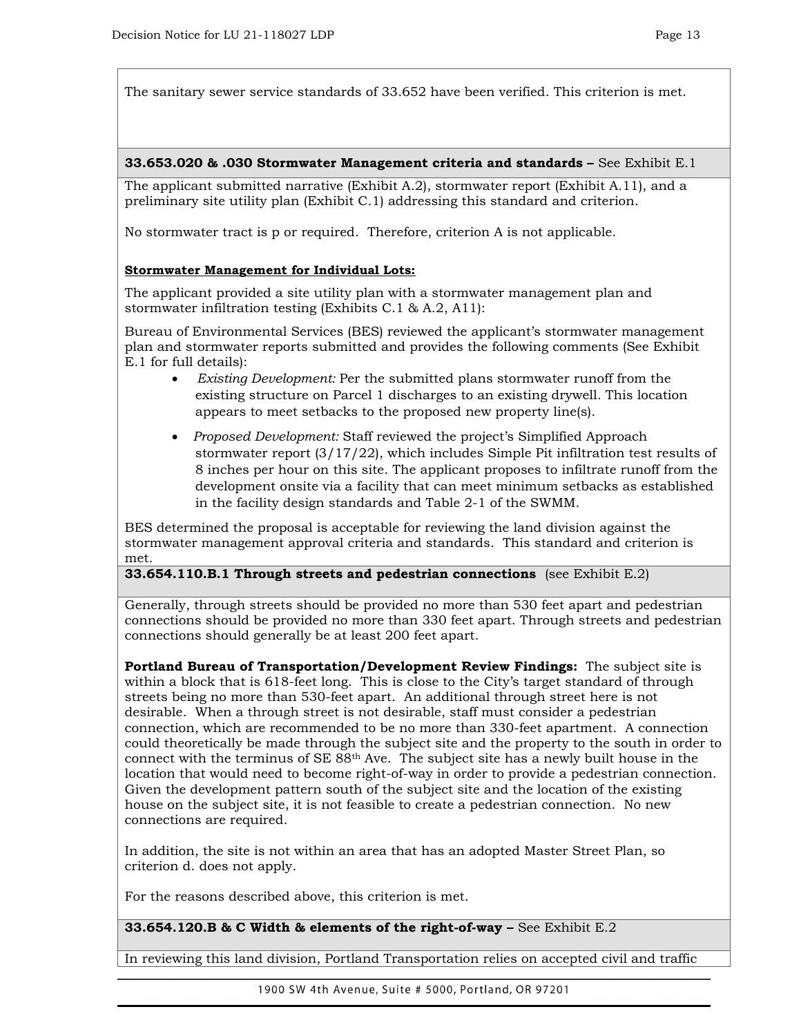#### **33.653.020 & .030 Stormwater Management criteria and standards –** See Exhibit E.1

The applicant submitted narrative (Exhibit A.2), stormwater report (Exhibit A.11), and a preliminary site utility plan (Exhibit C.1) addressing this standard and criterion.

No stormwater tract is p or required. Therefore, criterion A is not applicable.

## **Stormwater Management for Individual Lots:**

The applicant provided a site utility plan with a stormwater management plan and stormwater infiltration testing (Exhibits C.1 & A.2, A11):

Bureau of Environmental Services (BES) reviewed the applicant's stormwater management plan and stormwater reports submitted and provides the following comments (See Exhibit E.1 for full details):

- • *Existing Development:* Per the submitted plans stormwater runoff from the existing structure on Parcel 1 discharges to an existing drywell. This location appears to meet setbacks to the proposed new property line(s).
- • *Proposed Development:* Staff reviewed the project's Simplified Approach stormwater report (3/17/22), which includes Simple Pit infiltration test results of 8 inches per hour on this site. The applicant proposes to infiltrate runoff from the development onsite via a facility that can meet minimum setbacks as established in the facility design standards and Table 2-1 of the SWMM.

BES determined the proposal is acceptable for reviewing the land division against the stormwater management approval criteria and standards. This standard and criterion is met.

**33.654.110.B.1 Through streets and pedestrian connections** (see Exhibit E.2)

Generally, through streets should be provided no more than 530 feet apart and pedestrian connections should be provided no more than 330 feet apart. Through streets and pedestrian connections should generally be at least 200 feet apart.

**Portland Bureau of Transportation/Development Review Findings:** The subject site is within a block that is 618-feet long. This is close to the City's target standard of through streets being no more than 530-feet apart. An additional through street here is not desirable. When a through street is not desirable, staff must consider a pedestrian connection, which are recommended to be no more than 330-feet apartment. A connection could theoretically be made through the subject site and the property to the south in order to connect with the terminus of SE 88th Ave. The subject site has a newly built house in the location that would need to become right-of-way in order to provide a pedestrian connection. Given the development pattern south of the subject site and the location of the existing house on the subject site, it is not feasible to create a pedestrian connection. No new connections are required.

In addition, the site is not within an area that has an adopted Master Street Plan, so criterion d. does not apply.

For the reasons described above, this criterion is met.

**33.654.120.B & C Width & elements of the right-of-way –** See Exhibit E.2

In reviewing this land division, Portland Transportation relies on accepted civil and traffic

1900 SW 4th Avenue, Suite # 5000, Portland, OR 97201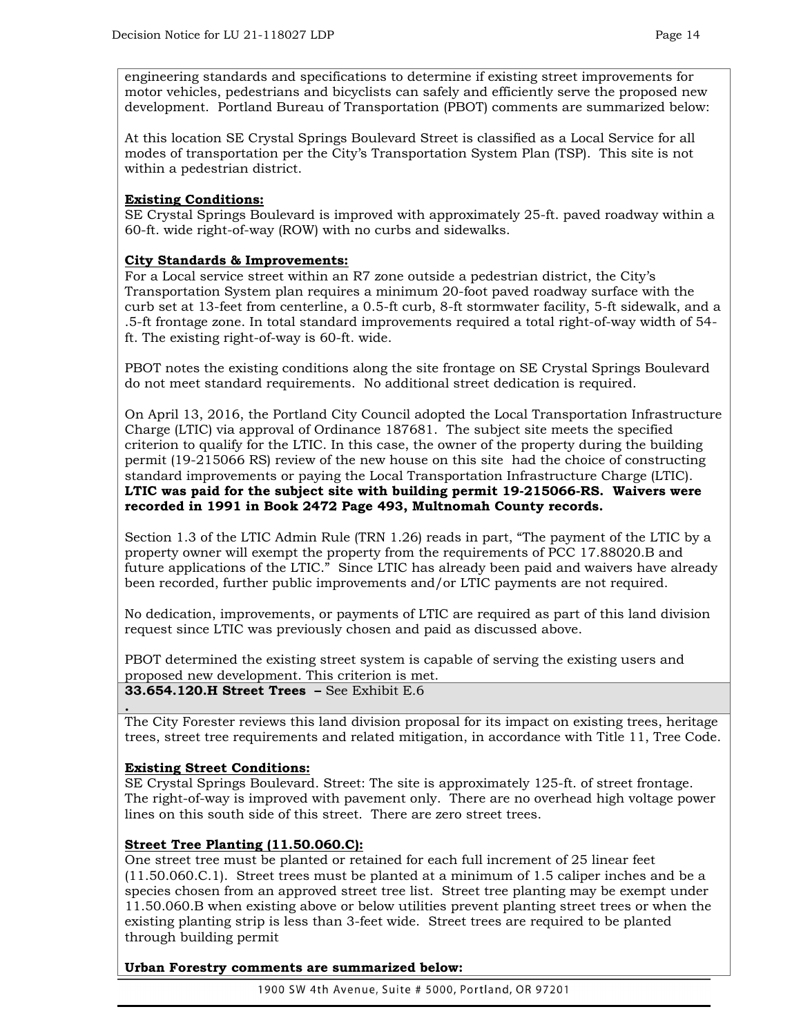engineering standards and specifications to determine if existing street improvements for motor vehicles, pedestrians and bicyclists can safely and efficiently serve the proposed new development. Portland Bureau of Transportation (PBOT) comments are summarized below:

At this location SE Crystal Springs Boulevard Street is classified as a Local Service for all modes of transportation per the City's Transportation System Plan (TSP). This site is not within a pedestrian district.

## **Existing Conditions:**

SE Crystal Springs Boulevard is improved with approximately 25-ft. paved roadway within a 60-ft. wide right-of-way (ROW) with no curbs and sidewalks.

## **City Standards & Improvements:**

For a Local service street within an R7 zone outside a pedestrian district, the City's Transportation System plan requires a minimum 20-foot paved roadway surface with the curb set at 13-feet from centerline, a 0.5-ft curb, 8-ft stormwater facility, 5-ft sidewalk, and a .5-ft frontage zone. In total standard improvements required a total right-of-way width of 54 ft. The existing right-of-way is 60-ft. wide.

PBOT notes the existing conditions along the site frontage on SE Crystal Springs Boulevard do not meet standard requirements. No additional street dedication is required.

On April 13, 2016, the Portland City Council adopted the Local Transportation Infrastructure Charge (LTIC) via approval of Ordinance 187681. The subject site meets the specified criterion to qualify for the LTIC. In this case, the owner of the property during the building permit (19-215066 RS) review of the new house on this site had the choice of constructing standard improvements or paying the Local Transportation Infrastructure Charge (LTIC). **LTIC was paid for the subject site with building permit 19-215066-RS. Waivers were recorded in 1991 in Book 2472 Page 493, Multnomah County records.**

Section 1.3 of the LTIC Admin Rule (TRN 1.26) reads in part, "The payment of the LTIC by a property owner will exempt the property from the requirements of PCC 17.88020.B and future applications of the LTIC." Since LTIC has already been paid and waivers have already been recorded, further public improvements and/or LTIC payments are not required.

No dedication, improvements, or payments of LTIC are required as part of this land division request since LTIC was previously chosen and paid as discussed above.

PBOT determined the existing street system is capable of serving the existing users and proposed new development. This criterion is met.

## **33.654.120.H Street Trees –** See Exhibit E.6

**.**  The City Forester reviews this land division proposal for its impact on existing trees, heritage trees, street tree requirements and related mitigation, in accordance with Title 11, Tree Code.

## **Existing Street Conditions:**

SE Crystal Springs Boulevard. Street: The site is approximately 125-ft. of street frontage. The right-of-way is improved with pavement only. There are no overhead high voltage power lines on this south side of this street. There are zero street trees.

## **Street Tree Planting (11.50.060.C):**

One street tree must be planted or retained for each full increment of 25 linear feet (11.50.060.C.1). Street trees must be planted at a minimum of 1.5 caliper inches and be a species chosen from an approved street tree list. Street tree planting may be exempt under 11.50.060.B when existing above or below utilities prevent planting street trees or when the existing planting strip is less than 3-feet wide. Street trees are required to be planted through building permit

## **Urban Forestry comments are summarized below:**

1900 SW 4th Avenue, Suite # 5000, Portland, OR 97201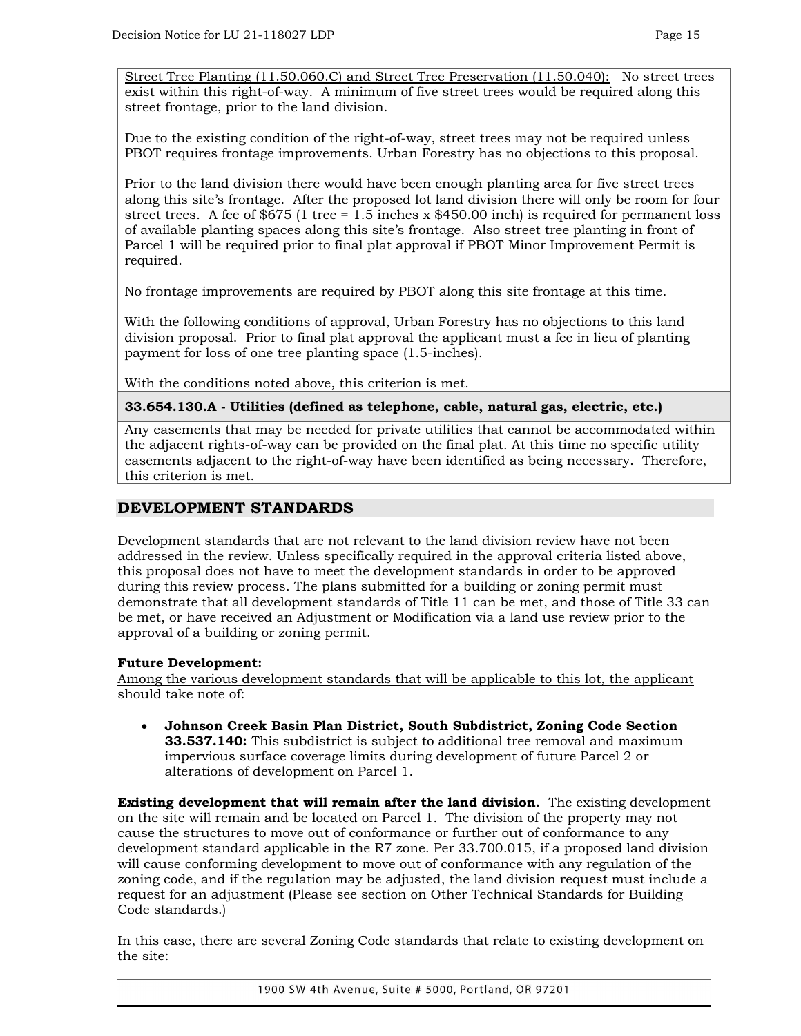Street Tree Planting (11.50.060.C) and Street Tree Preservation (11.50.040): No street trees exist within this right-of-way. A minimum of five street trees would be required along this street frontage, prior to the land division.

Due to the existing condition of the right-of-way, street trees may not be required unless PBOT requires frontage improvements. Urban Forestry has no objections to this proposal.

Prior to the land division there would have been enough planting area for five street trees along this site's frontage. After the proposed lot land division there will only be room for four street trees. A fee of  $$675$  (1 tree = 1.5 inches x  $$450.00$  inch) is required for permanent loss of available planting spaces along this site's frontage. Also street tree planting in front of Parcel 1 will be required prior to final plat approval if PBOT Minor Improvement Permit is required.

No frontage improvements are required by PBOT along this site frontage at this time.

With the following conditions of approval, Urban Forestry has no objections to this land division proposal. Prior to final plat approval the applicant must a fee in lieu of planting payment for loss of one tree planting space (1.5-inches).

With the conditions noted above, this criterion is met.

**33.654.130.A - Utilities (defined as telephone, cable, natural gas, electric, etc.)**

Any easements that may be needed for private utilities that cannot be accommodated within the adjacent rights-of-way can be provided on the final plat. At this time no specific utility easements adjacent to the right-of-way have been identified as being necessary. Therefore, this criterion is met.

# **DEVELOPMENT STANDARDS**

Development standards that are not relevant to the land division review have not been addressed in the review. Unless specifically required in the approval criteria listed above, this proposal does not have to meet the development standards in order to be approved during this review process. The plans submitted for a building or zoning permit must demonstrate that all development standards of Title 11 can be met, and those of Title 33 can be met, or have received an Adjustment or Modification via a land use review prior to the approval of a building or zoning permit.

## **Future Development:**

Among the various development standards that will be applicable to this lot, the applicant should take note of:

• **Johnson Creek Basin Plan District, South Subdistrict, Zoning Code Section 33.537.140:** This subdistrict is subject to additional tree removal and maximum impervious surface coverage limits during development of future Parcel 2 or alterations of development on Parcel 1.

**Existing development that will remain after the land division.** The existing development on the site will remain and be located on Parcel 1. The division of the property may not cause the structures to move out of conformance or further out of conformance to any development standard applicable in the R7 zone. Per 33.700.015, if a proposed land division will cause conforming development to move out of conformance with any regulation of the zoning code, and if the regulation may be adjusted, the land division request must include a request for an adjustment (Please see section on Other Technical Standards for Building Code standards.)

In this case, there are several Zoning Code standards that relate to existing development on the site: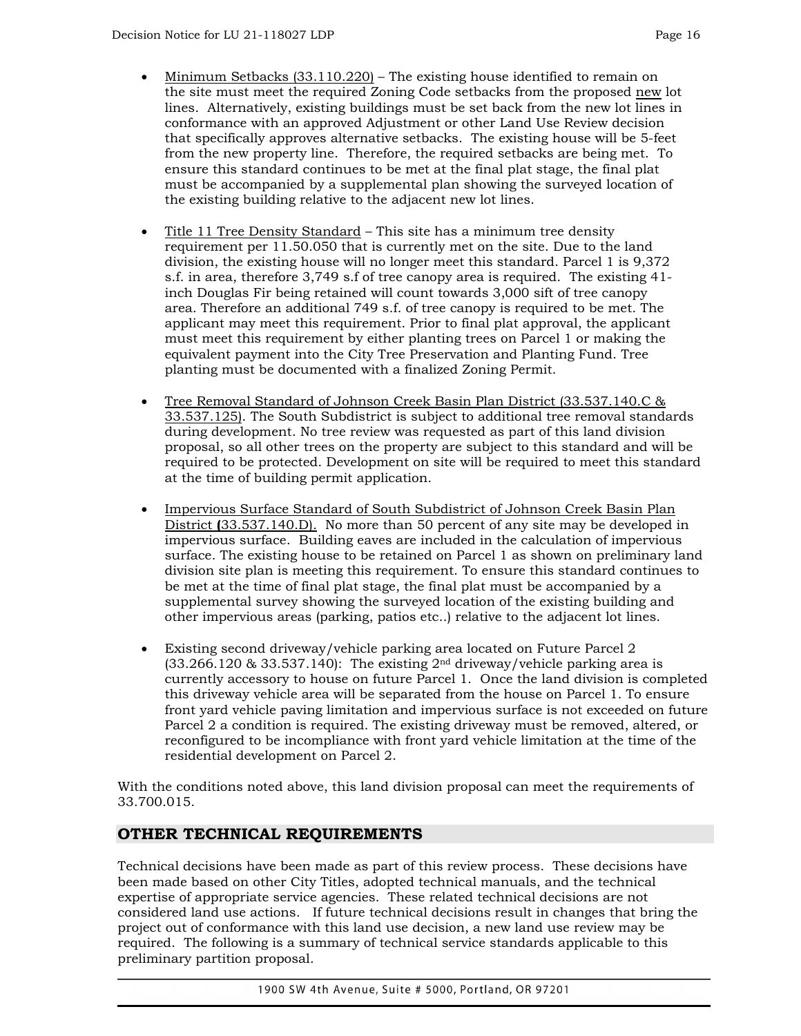- Minimum Setbacks  $(33.110.220)$  The existing house identified to remain on the site must meet the required Zoning Code setbacks from the proposed new lot lines. Alternatively, existing buildings must be set back from the new lot lines in conformance with an approved Adjustment or other Land Use Review decision that specifically approves alternative setbacks. The existing house will be 5-feet from the new property line. Therefore, the required setbacks are being met. To ensure this standard continues to be met at the final plat stage, the final plat must be accompanied by a supplemental plan showing the surveyed location of the existing building relative to the adjacent new lot lines.
- Title 11 Tree Density Standard This site has a minimum tree density requirement per 11.50.050 that is currently met on the site. Due to the land division, the existing house will no longer meet this standard. Parcel 1 is 9,372 s.f. in area, therefore 3,749 s.f of tree canopy area is required. The existing 41 inch Douglas Fir being retained will count towards 3,000 sift of tree canopy area. Therefore an additional 749 s.f. of tree canopy is required to be met. The applicant may meet this requirement. Prior to final plat approval, the applicant must meet this requirement by either planting trees on Parcel 1 or making the equivalent payment into the City Tree Preservation and Planting Fund. Tree planting must be documented with a finalized Zoning Permit.
- Tree Removal Standard of Johnson Creek Basin Plan District (33.537.140.C & 33.537.125). The South Subdistrict is subject to additional tree removal standards during development. No tree review was requested as part of this land division proposal, so all other trees on the property are subject to this standard and will be required to be protected. Development on site will be required to meet this standard at the time of building permit application.
- Impervious Surface Standard of South Subdistrict of Johnson Creek Basin Plan District **(**33.537.140.D). No more than 50 percent of any site may be developed in impervious surface. Building eaves are included in the calculation of impervious surface. The existing house to be retained on Parcel 1 as shown on preliminary land division site plan is meeting this requirement. To ensure this standard continues to be met at the time of final plat stage, the final plat must be accompanied by a supplemental survey showing the surveyed location of the existing building and other impervious areas (parking, patios etc..) relative to the adjacent lot lines.
- Existing second driveway/vehicle parking area located on Future Parcel 2  $(33.266.120 \& 33.537.140)$ : The existing 2<sup>nd</sup> driveway/vehicle parking area is currently accessory to house on future Parcel 1. Once the land division is completed this driveway vehicle area will be separated from the house on Parcel 1. To ensure front yard vehicle paving limitation and impervious surface is not exceeded on future Parcel 2 a condition is required. The existing driveway must be removed, altered, or reconfigured to be incompliance with front yard vehicle limitation at the time of the residential development on Parcel 2.

With the conditions noted above, this land division proposal can meet the requirements of 33.700.015.

# **OTHER TECHNICAL REQUIREMENTS**

Technical decisions have been made as part of this review process. These decisions have been made based on other City Titles, adopted technical manuals, and the technical expertise of appropriate service agencies. These related technical decisions are not considered land use actions. If future technical decisions result in changes that bring the project out of conformance with this land use decision, a new land use review may be required. The following is a summary of technical service standards applicable to this preliminary partition proposal.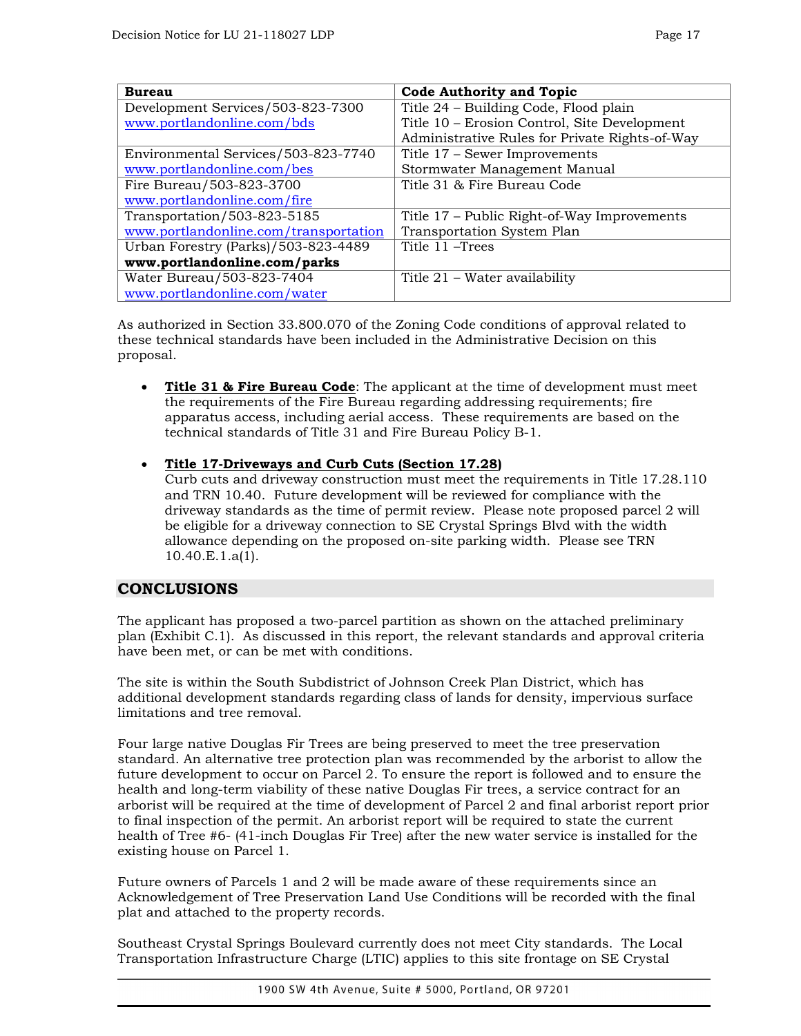| <b>Bureau</b>                         | <b>Code Authority and Topic</b>                |
|---------------------------------------|------------------------------------------------|
| Development Services/503-823-7300     | Title 24 - Building Code, Flood plain          |
| www.portlandonline.com/bds            | Title 10 - Erosion Control, Site Development   |
|                                       | Administrative Rules for Private Rights-of-Way |
| Environmental Services/503-823-7740   | Title 17 – Sewer Improvements                  |
| www.portlandonline.com/bes            | Stormwater Management Manual                   |
| Fire Bureau/503-823-3700              | Title 31 & Fire Bureau Code                    |
| www.portlandonline.com/fire           |                                                |
| Transportation/503-823-5185           | Title 17 – Public Right-of-Way Improvements    |
| www.portlandonline.com/transportation | Transportation System Plan                     |
| Urban Forestry (Parks)/503-823-4489   | Title 11 – Trees                               |
| www.portlandonline.com/parks          |                                                |
| Water Bureau/503-823-7404             | Title 21 – Water availability                  |
| www.portlandonline.com/water          |                                                |

As authorized in Section 33.800.070 of the Zoning Code conditions of approval related to these technical standards have been included in the Administrative Decision on this proposal.

• **Title 31 & Fire Bureau Code**: The applicant at the time of development must meet the requirements of the Fire Bureau regarding addressing requirements; fire apparatus access, including aerial access. These requirements are based on the technical standards of Title 31 and Fire Bureau Policy B-1.

## • **Title 17-Driveways and Curb Cuts (Section 17.28)**

Curb cuts and driveway construction must meet the requirements in Title 17.28.110 and TRN 10.40. Future development will be reviewed for compliance with the driveway standards as the time of permit review. Please note proposed parcel 2 will be eligible for a driveway connection to SE Crystal Springs Blvd with the width allowance depending on the proposed on-site parking width. Please see TRN 10.40.E.1.a(1).

# **CONCLUSIONS**

The applicant has proposed a two-parcel partition as shown on the attached preliminary plan (Exhibit C.1). As discussed in this report, the relevant standards and approval criteria have been met, or can be met with conditions.

The site is within the South Subdistrict of Johnson Creek Plan District, which has additional development standards regarding class of lands for density, impervious surface limitations and tree removal.

Four large native Douglas Fir Trees are being preserved to meet the tree preservation standard. An alternative tree protection plan was recommended by the arborist to allow the future development to occur on Parcel 2. To ensure the report is followed and to ensure the health and long-term viability of these native Douglas Fir trees, a service contract for an arborist will be required at the time of development of Parcel 2 and final arborist report prior to final inspection of the permit. An arborist report will be required to state the current health of Tree #6- (41-inch Douglas Fir Tree) after the new water service is installed for the existing house on Parcel 1.

Future owners of Parcels 1 and 2 will be made aware of these requirements since an Acknowledgement of Tree Preservation Land Use Conditions will be recorded with the final plat and attached to the property records.

Southeast Crystal Springs Boulevard currently does not meet City standards. The Local Transportation Infrastructure Charge (LTIC) applies to this site frontage on SE Crystal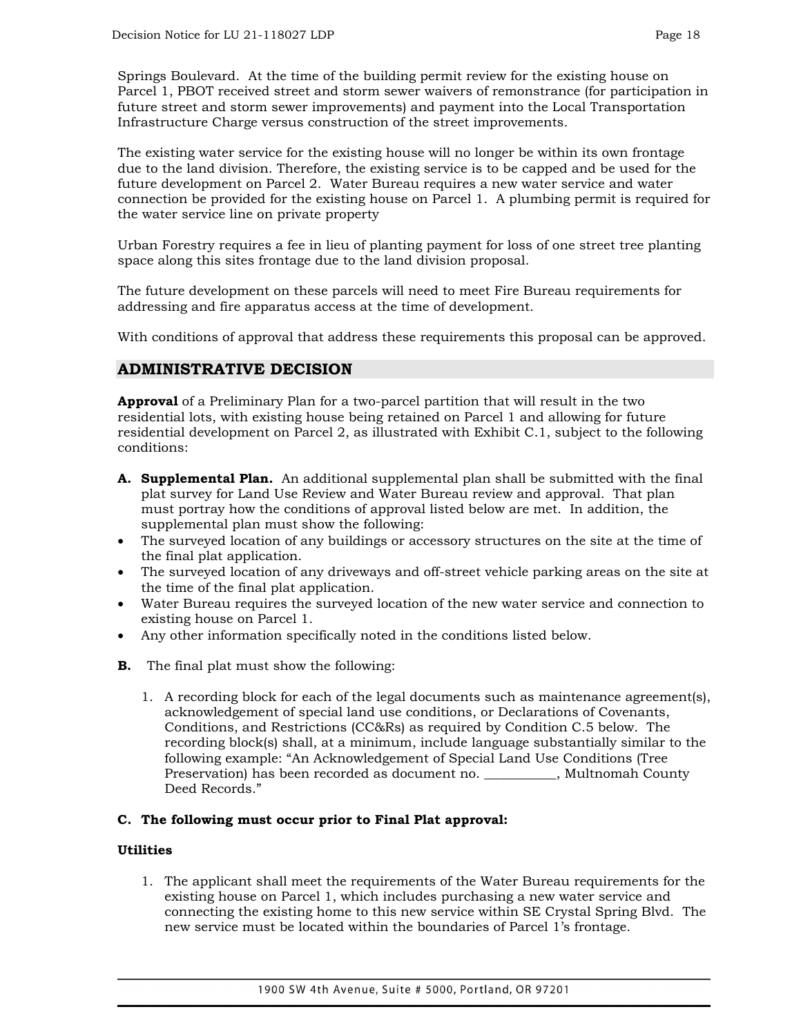Springs Boulevard. At the time of the building permit review for the existing house on Parcel 1, PBOT received street and storm sewer waivers of remonstrance (for participation in future street and storm sewer improvements) and payment into the Local Transportation Infrastructure Charge versus construction of the street improvements.

The existing water service for the existing house will no longer be within its own frontage due to the land division. Therefore, the existing service is to be capped and be used for the future development on Parcel 2. Water Bureau requires a new water service and water connection be provided for the existing house on Parcel 1. A plumbing permit is required for the water service line on private property

Urban Forestry requires a fee in lieu of planting payment for loss of one street tree planting space along this sites frontage due to the land division proposal.

The future development on these parcels will need to meet Fire Bureau requirements for addressing and fire apparatus access at the time of development.

With conditions of approval that address these requirements this proposal can be approved.

# **ADMINISTRATIVE DECISION**

**Approval** of a Preliminary Plan for a two-parcel partition that will result in the two residential lots, with existing house being retained on Parcel 1 and allowing for future residential development on Parcel 2, as illustrated with Exhibit C.1, subject to the following conditions:

- **A. Supplemental Plan.** An additional supplemental plan shall be submitted with the final plat survey for Land Use Review and Water Bureau review and approval. That plan must portray how the conditions of approval listed below are met. In addition, the supplemental plan must show the following:
- The surveyed location of any buildings or accessory structures on the site at the time of the final plat application.
- The surveyed location of any driveways and off-street vehicle parking areas on the site at the time of the final plat application.
- Water Bureau requires the surveyed location of the new water service and connection to existing house on Parcel 1.
- Any other information specifically noted in the conditions listed below.
- **B.** The final plat must show the following:
	- 1. A recording block for each of the legal documents such as maintenance agreement(s), acknowledgement of special land use conditions, or Declarations of Covenants, Conditions, and Restrictions (CC&Rs) as required by Condition C.5 below. The recording block(s) shall, at a minimum, include language substantially similar to the following example: "An Acknowledgement of Special Land Use Conditions (Tree Preservation) has been recorded as document no. \_\_\_\_\_\_\_\_\_\_\_, Multnomah County Deed Records."

## **C. The following must occur prior to Final Plat approval:**

#### **Utilities**

1. The applicant shall meet the requirements of the Water Bureau requirements for the existing house on Parcel 1, which includes purchasing a new water service and connecting the existing home to this new service within SE Crystal Spring Blvd. The new service must be located within the boundaries of Parcel 1's frontage.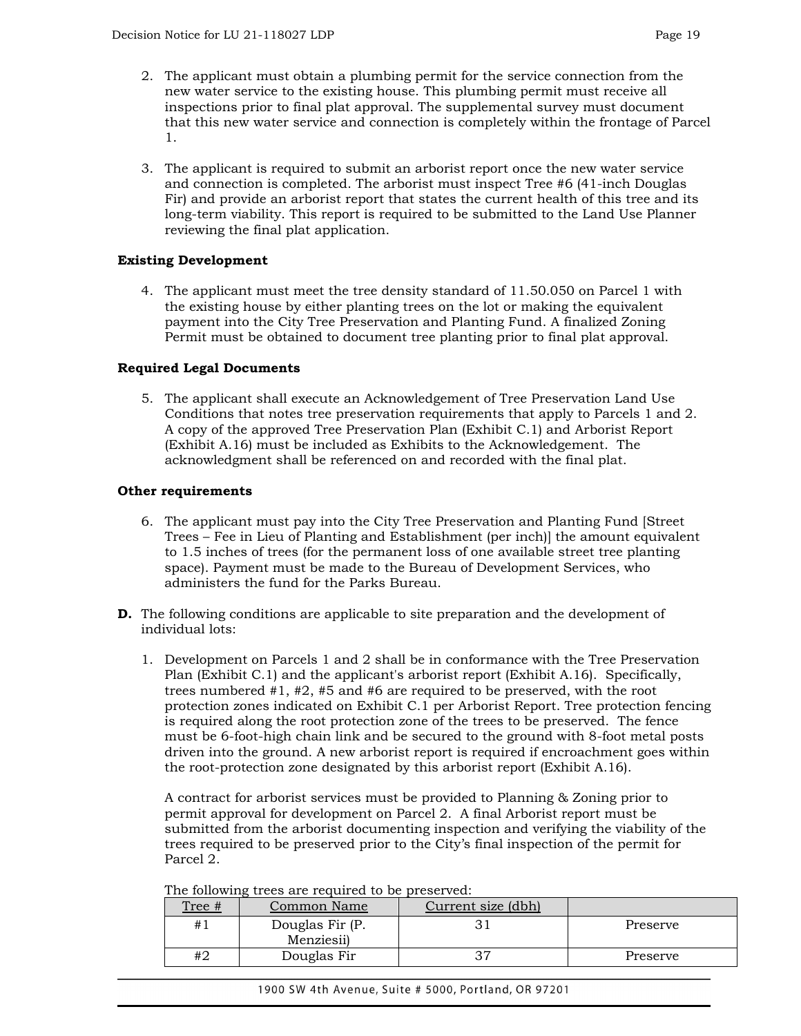- 2. The applicant must obtain a plumbing permit for the service connection from the new water service to the existing house. This plumbing permit must receive all inspections prior to final plat approval. The supplemental survey must document that this new water service and connection is completely within the frontage of Parcel 1.
- 3. The applicant is required to submit an arborist report once the new water service and connection is completed. The arborist must inspect Tree #6 (41-inch Douglas Fir) and provide an arborist report that states the current health of this tree and its long-term viability. This report is required to be submitted to the Land Use Planner reviewing the final plat application.

## **Existing Development**

4. The applicant must meet the tree density standard of 11.50.050 on Parcel 1 with the existing house by either planting trees on the lot or making the equivalent payment into the City Tree Preservation and Planting Fund. A finalized Zoning Permit must be obtained to document tree planting prior to final plat approval.

## **Required Legal Documents**

5. The applicant shall execute an Acknowledgement of Tree Preservation Land Use Conditions that notes tree preservation requirements that apply to Parcels 1 and 2. A copy of the approved Tree Preservation Plan (Exhibit C.1) and Arborist Report (Exhibit A.16) must be included as Exhibits to the Acknowledgement. The acknowledgment shall be referenced on and recorded with the final plat.

## **Other requirements**

- 6. The applicant must pay into the City Tree Preservation and Planting Fund [Street Trees – Fee in Lieu of Planting and Establishment (per inch)] the amount equivalent to 1.5 inches of trees (for the permanent loss of one available street tree planting space). Payment must be made to the Bureau of Development Services, who administers the fund for the Parks Bureau.
- **D.** The following conditions are applicable to site preparation and the development of individual lots:
	- 1. Development on Parcels 1 and 2 shall be in conformance with the Tree Preservation Plan (Exhibit C.1) and the applicant's arborist report (Exhibit A.16). Specifically, trees numbered #1, #2, #5 and #6 are required to be preserved, with the root protection zones indicated on Exhibit C.1 per Arborist Report. Tree protection fencing is required along the root protection zone of the trees to be preserved. The fence must be 6-foot-high chain link and be secured to the ground with 8-foot metal posts driven into the ground. A new arborist report is required if encroachment goes within the root-protection zone designated by this arborist report (Exhibit A.16).

A contract for arborist services must be provided to Planning & Zoning prior to permit approval for development on Parcel 2. A final Arborist report must be submitted from the arborist documenting inspection and verifying the viability of the trees required to be preserved prior to the City's final inspection of the permit for Parcel 2.

| Tree # | Common Name     | Current size (dbh) |          |
|--------|-----------------|--------------------|----------|
| #1     | Douglas Fir (P. |                    | Preserve |
|        | Menziesii)      |                    |          |
| #2     | Douglas Fir     |                    | Preserve |

The following trees are required to be preserved: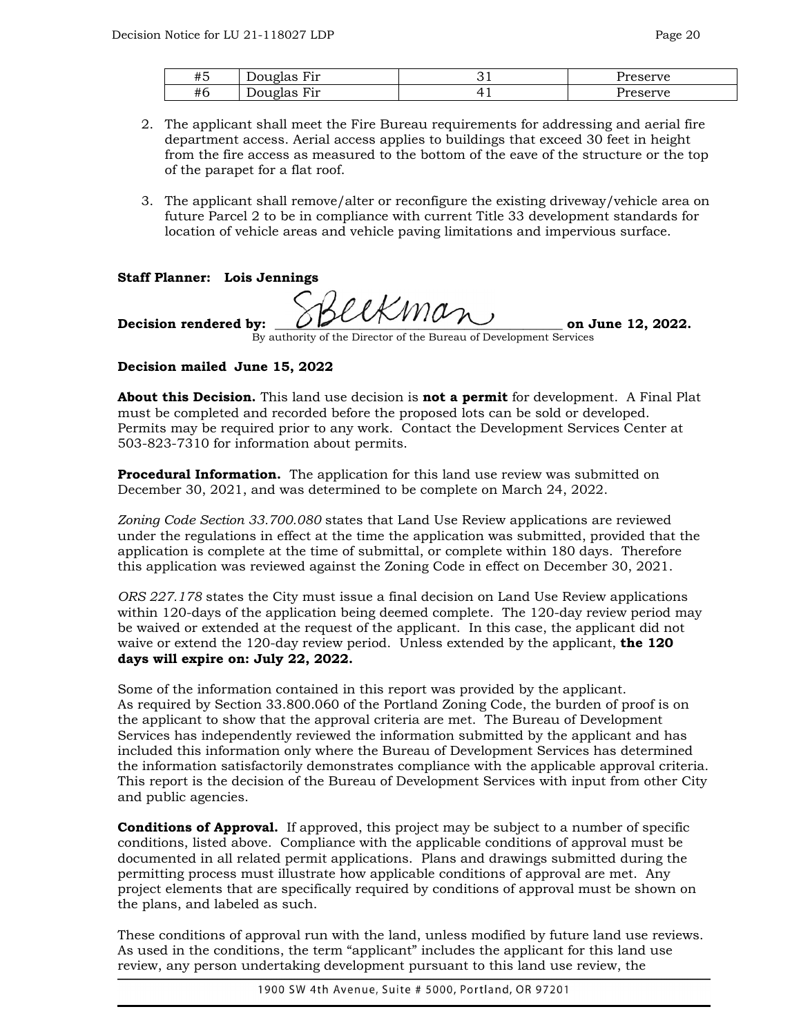| #F<br>π∪ | $\overline{\phantom{0}}$<br>$\ln 10$<br>٦r<br>້<br>. |      |
|----------|------------------------------------------------------|------|
| #6       | $\sim$ $10^{11}$<br>٦r<br><u>.</u><br>ັ<br>.         | rr70 |

- 2. The applicant shall meet the Fire Bureau requirements for addressing and aerial fire department access. Aerial access applies to buildings that exceed 30 feet in height from the fire access as measured to the bottom of the eave of the structure or the top of the parapet for a flat roof.
- 3. The applicant shall remove/alter or reconfigure the existing driveway/vehicle area on future Parcel 2 to be in compliance with current Title 33 development standards for location of vehicle areas and vehicle paving limitations and impervious surface.

## **Staff Planner: Lois Jennings**

Decision rendered by:  $\bigotimes \bigotimes \mathcal{U}$   $\mathcal{K}$  *MO*  $\wedge$  on June 12, 2022.

By authority of the Director of the Bureau of Development Services

## **Decision mailed June 15, 2022**

**About this Decision.** This land use decision is **not a permit** for development. A Final Plat must be completed and recorded before the proposed lots can be sold or developed. Permits may be required prior to any work. Contact the Development Services Center at 503-823-7310 for information about permits.

**Procedural Information.** The application for this land use review was submitted on December 30, 2021, and was determined to be complete on March 24, 2022.

*Zoning Code Section 33.700.080* states that Land Use Review applications are reviewed under the regulations in effect at the time the application was submitted, provided that the application is complete at the time of submittal, or complete within 180 days. Therefore this application was reviewed against the Zoning Code in effect on December 30, 2021.

*ORS 227.178* states the City must issue a final decision on Land Use Review applications within 120-days of the application being deemed complete. The 120-day review period may be waived or extended at the request of the applicant. In this case, the applicant did not waive or extend the 120-day review period. Unless extended by the applicant, **the 120 days will expire on: July 22, 2022.**

Some of the information contained in this report was provided by the applicant. As required by Section 33.800.060 of the Portland Zoning Code, the burden of proof is on the applicant to show that the approval criteria are met. The Bureau of Development Services has independently reviewed the information submitted by the applicant and has included this information only where the Bureau of Development Services has determined the information satisfactorily demonstrates compliance with the applicable approval criteria. This report is the decision of the Bureau of Development Services with input from other City and public agencies.

**Conditions of Approval.** If approved, this project may be subject to a number of specific conditions, listed above. Compliance with the applicable conditions of approval must be documented in all related permit applications. Plans and drawings submitted during the permitting process must illustrate how applicable conditions of approval are met. Any project elements that are specifically required by conditions of approval must be shown on the plans, and labeled as such.

These conditions of approval run with the land, unless modified by future land use reviews. As used in the conditions, the term "applicant" includes the applicant for this land use review, any person undertaking development pursuant to this land use review, the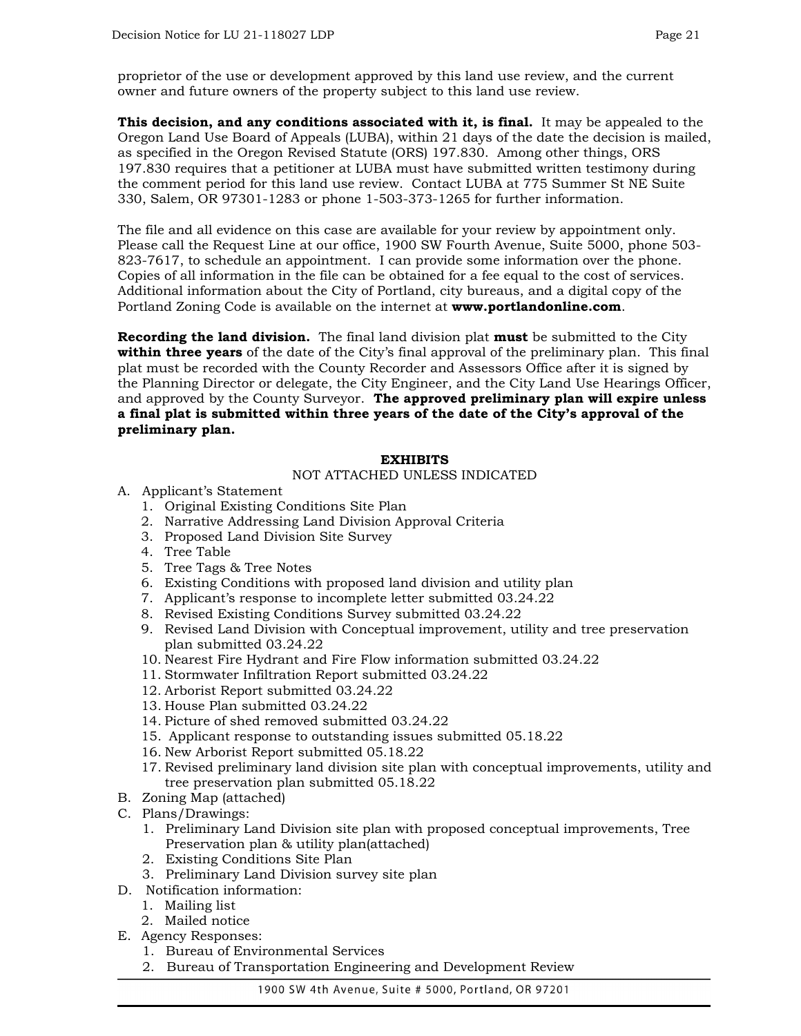proprietor of the use or development approved by this land use review, and the current owner and future owners of the property subject to this land use review.

**This decision, and any conditions associated with it, is final.** It may be appealed to the Oregon Land Use Board of Appeals (LUBA), within 21 days of the date the decision is mailed, as specified in the Oregon Revised Statute (ORS) 197.830. Among other things, ORS 197.830 requires that a petitioner at LUBA must have submitted written testimony during the comment period for this land use review. Contact LUBA at 775 Summer St NE Suite 330, Salem, OR 97301-1283 or phone 1-503-373-1265 for further information.

The file and all evidence on this case are available for your review by appointment only. Please call the Request Line at our office, 1900 SW Fourth Avenue, Suite 5000, phone 503- 823-7617, to schedule an appointment. I can provide some information over the phone. Copies of all information in the file can be obtained for a fee equal to the cost of services. Additional information about the City of Portland, city bureaus, and a digital copy of the Portland Zoning Code is available on the internet at **[www.portlandonline.com](http://www.portlandonline.com/)**.

**Recording the land division.** The final land division plat **must** be submitted to the City **within three years** of the date of the City's final approval of the preliminary plan. This final plat must be recorded with the County Recorder and Assessors Office after it is signed by the Planning Director or delegate, the City Engineer, and the City Land Use Hearings Officer, and approved by the County Surveyor. **The approved preliminary plan will expire unless a final plat is submitted within three years of the date of the City's approval of the preliminary plan.**

## **EXHIBITS**

## NOT ATTACHED UNLESS INDICATED

- A. Applicant's Statement
	- 1. Original Existing Conditions Site Plan
	- 2. Narrative Addressing Land Division Approval Criteria
	- 3. Proposed Land Division Site Survey
	- 4. Tree Table
	- 5. Tree Tags & Tree Notes
	- 6. Existing Conditions with proposed land division and utility plan
	- 7. Applicant's response to incomplete letter submitted 03.24.22
	- 8. Revised Existing Conditions Survey submitted 03.24.22
	- 9. Revised Land Division with Conceptual improvement, utility and tree preservation plan submitted 03.24.22
	- 10. Nearest Fire Hydrant and Fire Flow information submitted 03.24.22
	- 11. Stormwater Infiltration Report submitted 03.24.22
	- 12. Arborist Report submitted 03.24.22
	- 13. House Plan submitted 03.24.22
	- 14. Picture of shed removed submitted 03.24.22
	- 15. Applicant response to outstanding issues submitted 05.18.22
	- 16. New Arborist Report submitted 05.18.22
	- 17. Revised preliminary land division site plan with conceptual improvements, utility and tree preservation plan submitted 05.18.22
- B. Zoning Map (attached)
- C. Plans/Drawings:
	- 1. Preliminary Land Division site plan with proposed conceptual improvements, Tree Preservation plan & utility plan(attached)
	- 2. Existing Conditions Site Plan
	- 3. Preliminary Land Division survey site plan
- D. Notification information:
	- 1. Mailing list
	- 2. Mailed notice
- E. Agency Responses:
	- 1. Bureau of Environmental Services
	- 2. Bureau of Transportation Engineering and Development Review